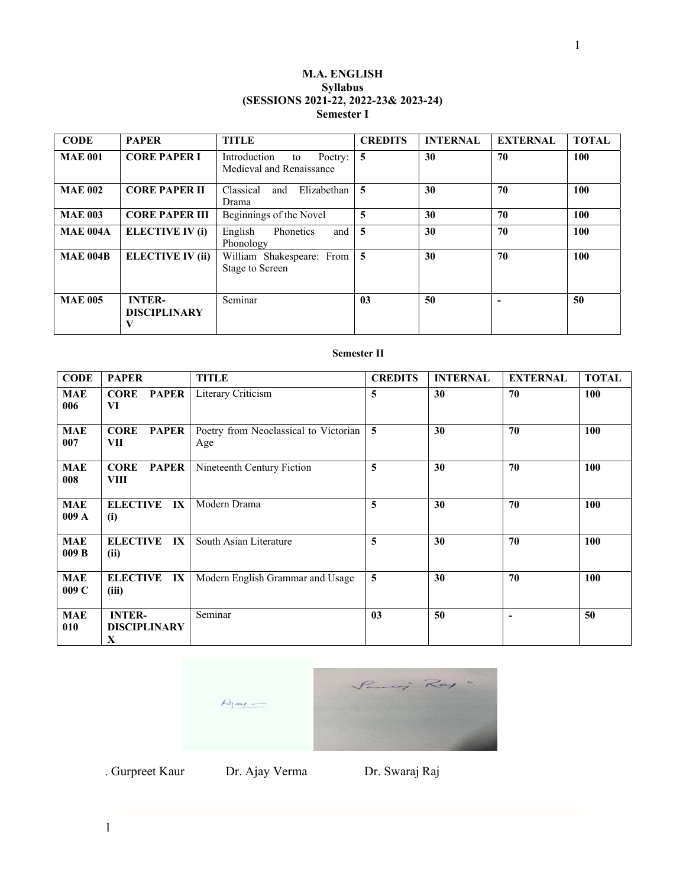# **M.A. ENGLISH Syllabus (SESSIONS 2021-22, 2022-23& 2023-24) Semester I**

| <b>CODE</b>     | <b>PAPER</b>                              | <b>TITLE</b>                                              | <b>CREDITS</b> | <b>INTERNAL</b> | <b>EXTERNAL</b> | <b>TOTAL</b> |
|-----------------|-------------------------------------------|-----------------------------------------------------------|----------------|-----------------|-----------------|--------------|
| <b>MAE 001</b>  | <b>CORE PAPER I</b>                       | Introduction<br>Poetry:<br>to<br>Medieval and Renaissance | 5              | 30              | 70              | 100          |
| <b>MAE 002</b>  | <b>CORE PAPER II</b>                      | Classical<br>Elizabethan<br>and<br>Drama                  | 5              | 30              | 70              | 100          |
| <b>MAE 003</b>  | <b>CORE PAPER III</b>                     | Beginnings of the Novel                                   | 5              | 30              | 70              | 100          |
| <b>MAE 004A</b> | ELECTIVE IV (i)                           | English<br>Phonetics<br>and<br>Phonology                  | $\overline{5}$ | 30              | 70              | 100          |
| <b>MAE 004B</b> | <b>ELECTIVE IV (ii)</b>                   | William Shakespeare: From   5<br><b>Stage to Screen</b>   |                | 30              | 70              | 100          |
| <b>MAE 005</b>  | <b>INTER-</b><br><b>DISCIPLINARY</b><br>V | Seminar                                                   | 03             | 50              |                 | 50           |

# **Semester II**

| <b>CODE</b>        | <b>PAPER</b>                                        | TITLE                                        | <b>CREDITS</b> | <b>INTERNAL</b> | <b>EXTERNAL</b> | <b>TOTAL</b> |
|--------------------|-----------------------------------------------------|----------------------------------------------|----------------|-----------------|-----------------|--------------|
| MAE<br>006         | <b>CORE</b><br>PAPER<br>VI                          | Literary Criticism                           | 5              | 30              | 70              | 100          |
| <b>MAE</b><br>007  | <b>CORE</b><br><b>PAPER</b><br>VII                  | Poetry from Neoclassical to Victorian<br>Age | $\overline{5}$ | 30              | 70              | 100          |
| <b>MAE</b><br>008  | <b>CORE</b><br><b>PAPER</b><br>VIII                 | Nineteenth Century Fiction                   | 5              | 30              | 70              | 100          |
| <b>MAE</b><br>009A | <b>ELECTIVE</b><br>IX<br>(i)                        | Modern Drama                                 | 5              | 30              | 70              | <b>100</b>   |
| <b>MAE</b><br>009B | <b>ELECTIVE</b><br>IX<br>(ii)                       | South Asian Literature                       | 5              | 30              | 70              | 100          |
| <b>MAE</b><br>009C | $\mathbf{I} \mathbf{X}$<br><b>ELECTIVE</b><br>(iii) | Modern English Grammar and Usage             | 5              | 30              | 70              | 100          |
| <b>MAE</b><br>010  | <b>INTER-</b><br><b>DISCIPLINARY</b><br>X           | Seminar                                      | 03             | 50              |                 | 50           |



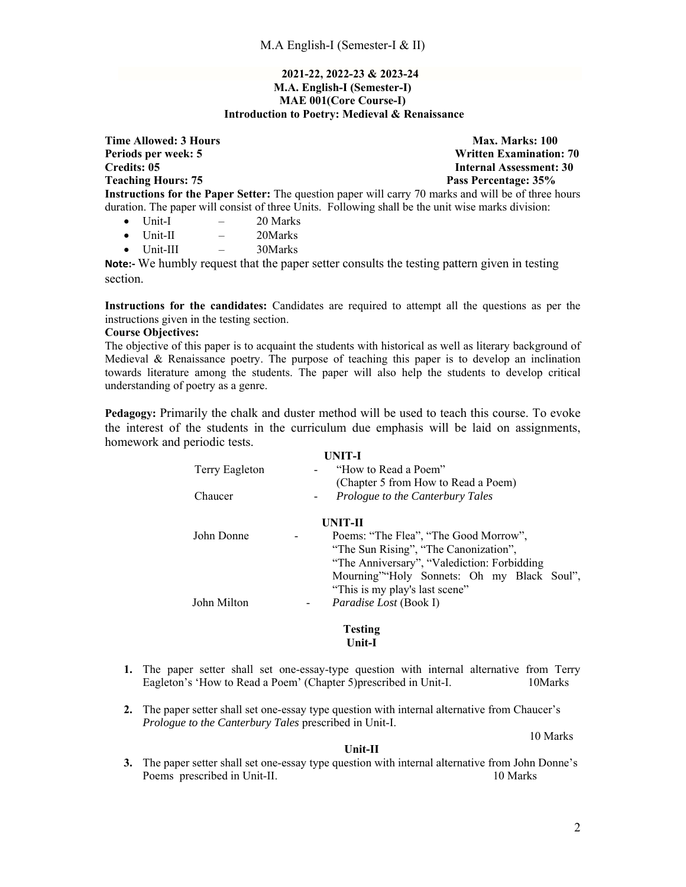## **2021-22, 2022-23 & 2023-24 M.A. English-I (Semester-I) MAE 001(Core Course-I) Introduction to Poetry: Medieval & Renaissance**

**Time Allowed: 3 Hours** Max. Marks: 100 **Periods per week: 5 Written Examination: 70 Credits: 05 Internal Assessment: 30 Teaching Hours: 75 Pass Percentage: 35%**  Pass Percentage: 35% **Instructions for the Paper Setter:** The question paper will carry 70 marks and will be of three hours duration. The paper will consist of three Units. Following shall be the unit wise marks division:  $\bullet$  Unit-I  $-$  20 Marks

- 
- Unit-II 20Marks
- $\bullet$  Unit-III  $-$  30Marks

**Note:** We humbly request that the paper setter consults the testing pattern given in testing section.

**Instructions for the candidates:** Candidates are required to attempt all the questions as per the instructions given in the testing section.

# **Course Objectives:**

The objective of this paper is to acquaint the students with historical as well as literary background of Medieval & Renaissance poetry. The purpose of teaching this paper is to develop an inclination towards literature among the students. The paper will also help the students to develop critical understanding of poetry as a genre.

**Pedagogy:** Primarily the chalk and duster method will be used to teach this course. To evoke the interest of the students in the curriculum due emphasis will be laid on assignments, homework and periodic tests.

|                                         | UNIT-I                                      |
|-----------------------------------------|---------------------------------------------|
| Terry Eagleton                          | "How to Read a Poem"                        |
|                                         | (Chapter 5 from How to Read a Poem)         |
| Chaucer                                 | Prologue to the Canterbury Tales            |
|                                         |                                             |
|                                         | UNIT-II                                     |
| John Donne<br>$\overline{\phantom{a}}$  | Poems: "The Flea", "The Good Morrow",       |
|                                         | "The Sun Rising", "The Canonization",       |
|                                         | "The Anniversary", "Valediction: Forbidding |
|                                         | Mourning" Holy Sonnets: Oh my Black Soul",  |
|                                         | "This is my play's last scene"              |
| John Milton<br>$\overline{\phantom{a}}$ | <i>Paradise Lost</i> (Book I)               |
|                                         |                                             |

**Testing Unit-I** 

- **1.** The paper setter shall set one-essay-type question with internal alternative from Terry Eagleton's 'How to Read a Poem' (Chapter 5)prescribed in Unit-I. 10Marks
- **2.** The paper setter shall set one-essay type question with internal alternative from Chaucer's *Prologue to the Canterbury Tales* prescribed in Unit-I.

10 Marks

**Unit-II** 

**3.** The paper setter shall set one-essay type question with internal alternative from John Donne's Poems prescribed in Unit-II. 10 Marks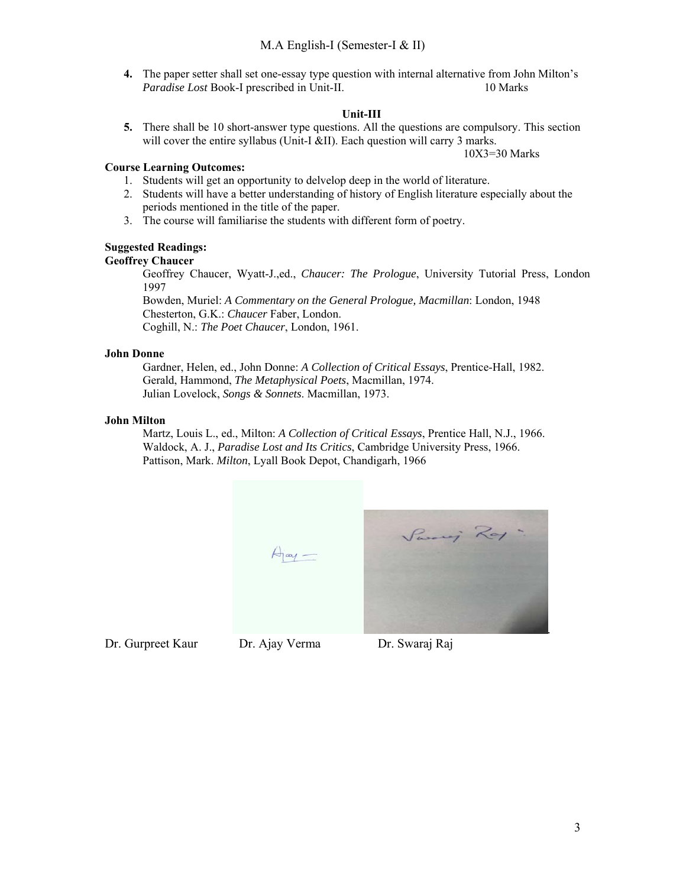**4.** The paper setter shall set one-essay type question with internal alternative from John Milton's *Paradise Lost* Book-I prescribed in Unit-II. 10 Marks

# **Unit-III**

**5.** There shall be 10 short-answer type questions. All the questions are compulsory. This section will cover the entire syllabus (Unit-I &II). Each question will carry 3 marks.

10X3=30 Marks

## **Course Learning Outcomes:**

- 1. Students will get an opportunity to delvelop deep in the world of literature.
- 2. Students will have a better understanding of history of English literature especially about the periods mentioned in the title of the paper.
- 3. The course will familiarise the students with different form of poetry.

# **Suggested Readings:**

# **Geoffrey Chaucer**

Geoffrey Chaucer, Wyatt-J.,ed., *Chaucer: The Prologue*, University Tutorial Press, London 1997

Bowden, Muriel: *A Commentary on the General Prologue, Macmillan*: London, 1948 Chesterton, G.K.: *Chaucer* Faber, London. Coghill, N.: *The Poet Chaucer*, London, 1961.

# **John Donne**

Gardner, Helen, ed., John Donne: *A Collection of Critical Essays*, Prentice-Hall, 1982. Gerald, Hammond, *The Metaphysical Poets*, Macmillan, 1974. Julian Lovelock, *Songs & Sonnets*. Macmillan, 1973.

# **John Milton**

Martz, Louis L., ed., Milton: *A Collection of Critical Essays*, Prentice Hall, N.J., 1966. Waldock, A. J., *Paradise Lost and Its Critics*, Cambridge University Press, 1966. Pattison, Mark. *Milton*, Lyall Book Depot, Chandigarh, 1966



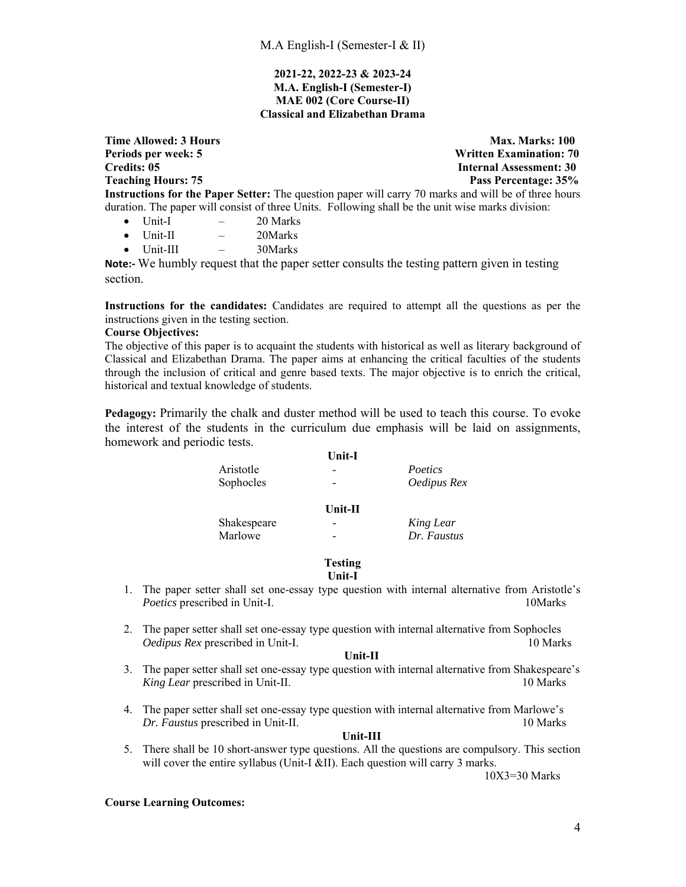## **2021-22, 2022-23 & 2023-24 M.A. English-I (Semester-I) MAE 002 (Core Course-II) Classical and Elizabethan Drama**

**Time Allowed: 3 Hours** Max. Marks: 100 **Periods per week: 5 Written Examination: 70 Credits: 05 Internal Assessment: 30 Teaching Hours: 75 Pass Percentage: 35% Instructions for the Paper Setter:** The question paper will carry 70 marks and will be of three hours duration. The paper will consist of three Units. Following shall be the unit wise marks division:

- $\bullet$  Unit-I  $-$  20 Marks
- Unit-II 20Marks
- $\bullet$  Unit-III  $-$  30Marks

**Note:** We humbly request that the paper setter consults the testing pattern given in testing section.

**Instructions for the candidates:** Candidates are required to attempt all the questions as per the instructions given in the testing section.

## **Course Objectives:**

The objective of this paper is to acquaint the students with historical as well as literary background of Classical and Elizabethan Drama. The paper aims at enhancing the critical faculties of the students through the inclusion of critical and genre based texts. The major objective is to enrich the critical, historical and textual knowledge of students.

**Pedagogy:** Primarily the chalk and duster method will be used to teach this course. To evoke the interest of the students in the curriculum due emphasis will be laid on assignments, homework and periodic tests.

|             | Unit-I                   |             |
|-------------|--------------------------|-------------|
| Aristotle   | $\overline{\phantom{a}}$ | Poetics     |
| Sophocles   | $\overline{\phantom{a}}$ | Oedipus Rex |
|             | $Unit-II$                |             |
| Shakespeare | $\overline{a}$           | King Lear   |
| Marlowe     | $\overline{\phantom{a}}$ | Dr. Faustus |

#### **Testing Unit-I**

- 1. The paper setter shall set one-essay type question with internal alternative from Aristotle's *Poetics* prescribed in Unit-I. 10Marks
- 2. The paper setter shall set one-essay type question with internal alternative from Sophocles *Oedipus Rex* prescribed in Unit-I. 10 Marks

### **Unit-II**

- 3. The paper setter shall set one-essay type question with internal alternative from Shakespeare's *King Lear prescribed in Unit-II.* 10 Marks
- 4. The paper setter shall set one-essay type question with internal alternative from Marlowe's *Dr. Faustus* prescribed in Unit-II. 10 Marks

### **Unit-III**

5. There shall be 10 short-answer type questions. All the questions are compulsory. This section will cover the entire syllabus (Unit-I &II). Each question will carry 3 marks.

10X3=30 Marks

## **Course Learning Outcomes:**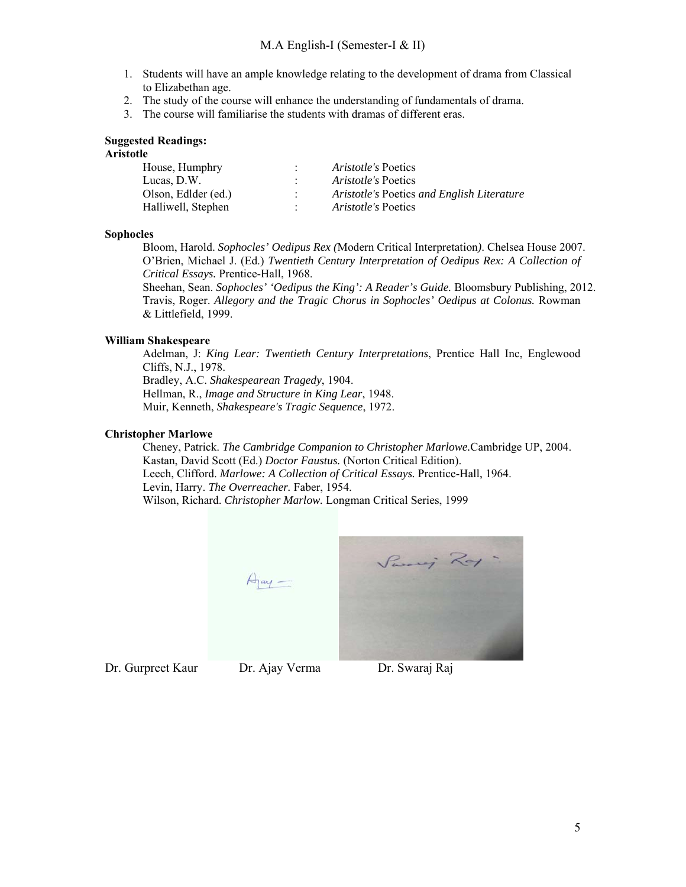- 1. Students will have an ample knowledge relating to the development of drama from Classical to Elizabethan age.
- 2. The study of the course will enhance the understanding of fundamentals of drama.
- 3. The course will familiarise the students with dramas of different eras.

## **Suggested Readings:**

# **Aristotle**

| House, Humphry      | <i>Aristotle's</i> Poetics                 |
|---------------------|--------------------------------------------|
| Lucas, D.W.         | <i>Aristotle's</i> Poetics                 |
| Olson, Edlder (ed.) | Aristotle's Poetics and English Literature |
| Halliwell, Stephen  | <i>Aristotle's</i> Poetics                 |

## **Sophocles**

Bloom, Harold. *Sophocles' Oedipus Rex (*Modern Critical Interpretation*)*. Chelsea House 2007. O'Brien, Michael J. (Ed.) *Twentieth Century Interpretation of Oedipus Rex: A Collection of Critical Essays.* Prentice-Hall, 1968.

Sheehan, Sean. *Sophocles' 'Oedipus the King': A Reader's Guide.* Bloomsbury Publishing, 2012. Travis, Roger. *Allegory and the Tragic Chorus in Sophocles' Oedipus at Colonus.* Rowman & Littlefield, 1999.

## **William Shakespeare**

Adelman, J: *King Lear: Twentieth Century Interpretations*, Prentice Hall Inc, Englewood Cliffs, N.J., 1978. Bradley, A.C. *Shakespearean Tragedy*, 1904.

Hellman, R., *Image and Structure in King Lear*, 1948.

Muir, Kenneth, *Shakespeare's Tragic Sequence*, 1972.

## **Christopher Marlowe**

Cheney, Patrick. *The Cambridge Companion to Christopher Marlowe.*Cambridge UP, 2004. Kastan, David Scott (Ed.) *Doctor Faustus.* (Norton Critical Edition). Leech, Clifford. *Marlowe: A Collection of Critical Essays.* Prentice-Hall, 1964. Levin, Harry. *The Overreacher.* Faber, 1954. Wilson, Richard. *Christopher Marlow.* Longman Critical Series, 1999



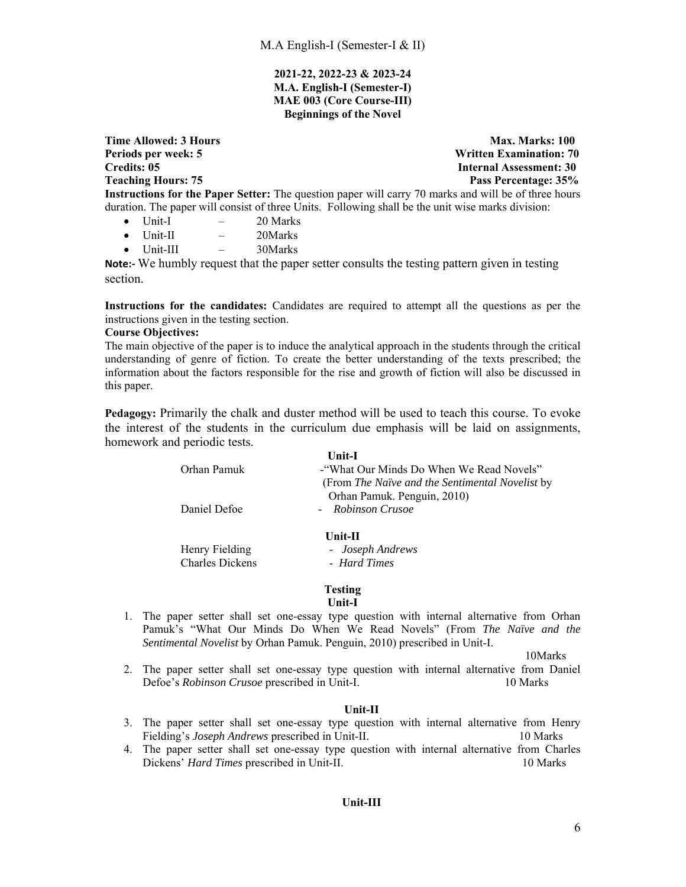## **2021-22, 2022-23 & 2023-24 M.A. English-I (Semester-I) MAE 003 (Core Course-III) Beginnings of the Novel**

**Time Allowed: 3 Hours Max. Marks: 100 Max. Marks: 100 Periods per week: 5 Written Examination: 70 Credits: 05 Internal Assessment: 30 Teaching Hours: 75 Pass Percentage: 35%**  Pass Percentage: 35% **Instructions for the Paper Setter:** The question paper will carry 70 marks and will be of three hours duration. The paper will consist of three Units. Following shall be the unit wise marks division:

- $\bullet$  Unit-I  $-$  20 Marks
- Unit-II 20Marks
- $\bullet$  Unit-III  $-$  30Marks

**Note:** We humbly request that the paper setter consults the testing pattern given in testing section.

**Instructions for the candidates:** Candidates are required to attempt all the questions as per the instructions given in the testing section.

## **Course Objectives:**

The main objective of the paper is to induce the analytical approach in the students through the critical understanding of genre of fiction. To create the better understanding of the texts prescribed; the information about the factors responsible for the rise and growth of fiction will also be discussed in this paper.

**Pedagogy:** Primarily the chalk and duster method will be used to teach this course. To evoke the interest of the students in the curriculum due emphasis will be laid on assignments, homework and periodic tests.

|              | Unit-I                                          |
|--------------|-------------------------------------------------|
| Orhan Pamuk  | - "What Our Minds Do When We Read Novels"       |
|              | (From The Naïve and the Sentimental Novelist by |
|              | Orhan Pamuk. Penguin, 2010)                     |
| Daniel Defoe | - Robinson Crusoe                               |
|              |                                                 |

**Unit-II** 

 Henry Fielding - *Joseph Andrews* Charles Dickens - *Hard Times*

**Testing** 

**Unit-I** 

1. The paper setter shall set one-essay type question with internal alternative from Orhan Pamuk's "What Our Minds Do When We Read Novels" (From *The Naïve and the Sentimental Novelist* by Orhan Pamuk. Penguin, 2010) prescribed in Unit-I.

 10Marks 2. The paper setter shall set one-essay type question with internal alternative from Daniel Defoe's *Robinson Crusoe* prescribed in Unit-I. 10 Marks

## **Unit-II**

- 3. The paper setter shall set one-essay type question with internal alternative from Henry Fielding's *Joseph Andrews* prescribed in Unit-II. 10 Marks
- 4. The paper setter shall set one-essay type question with internal alternative from Charles Dickens' *Hard Times* prescribed in Unit-II. 10 Marks

## **Unit-III**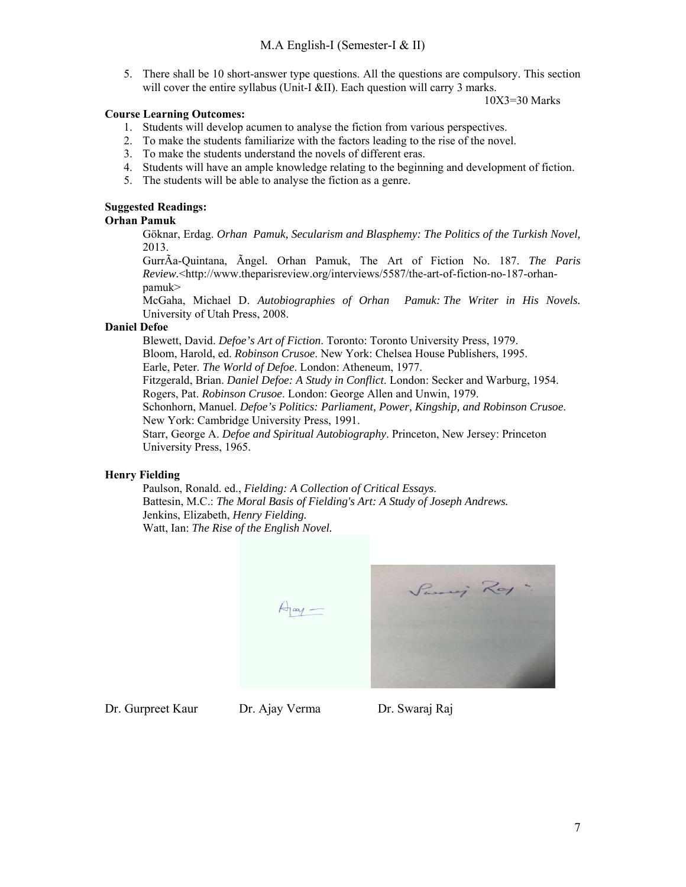5. There shall be 10 short-answer type questions. All the questions are compulsory. This section will cover the entire syllabus (Unit-I &II). Each question will carry 3 marks.

10X3=30 Marks

## **Course Learning Outcomes:**

- 1. Students will develop acumen to analyse the fiction from various perspectives.
- 2. To make the students familiarize with the factors leading to the rise of the novel.
- 3. To make the students understand the novels of different eras.
- 4. Students will have an ample knowledge relating to the beginning and development of fiction.
- 5. The students will be able to analyse the fiction as a genre.

# **Suggested Readings:**

## **Orhan Pamuk**

Göknar, Erdag. *Orhan Pamuk, Secularism and Blasphemy: The Politics of the Turkish Novel,*  2013.

GurrÃa-Quintana, Ãngel*.* Orhan Pamuk, The Art of Fiction No. 187. *The Paris Review.*<http://www.theparisreview.org/interviews/5587/the-art-of-fiction-no-187-orhanpamuk>

McGaha, Michael D. *Autobiographies of Orhan Pamuk: The Writer in His Novels.*  University of Utah Press, 2008.

## **Daniel Defoe**

Blewett, David. *Defoe's Art of Fiction*. Toronto: Toronto University Press, 1979. Bloom, Harold, ed. *Robinson Crusoe*. New York: Chelsea House Publishers, 1995. Earle, Peter. *The World of Defoe*. London: Atheneum, 1977. Fitzgerald, Brian. *Daniel Defoe: A Study in Conflict*. London: Secker and Warburg, 1954. Rogers, Pat. *Robinson Crusoe*. London: George Allen and Unwin, 1979. Schonhorn, Manuel. *Defoe's Politics: Parliament, Power, Kingship, and Robinson Crusoe*. New York: Cambridge University Press, 1991. Starr, George A. *Defoe and Spiritual Autobiography*. Princeton, New Jersey: Princeton University Press, 1965.

# **Henry Fielding**

Paulson, Ronald. ed., *Fielding: A Collection of Critical Essays*. Battesin, M.C.: *The Moral Basis of Fielding's Art: A Study of Joseph Andrews.* Jenkins, Elizabeth, *Henry Fielding.* Watt, Ian: *The Rise of the English Novel.* 

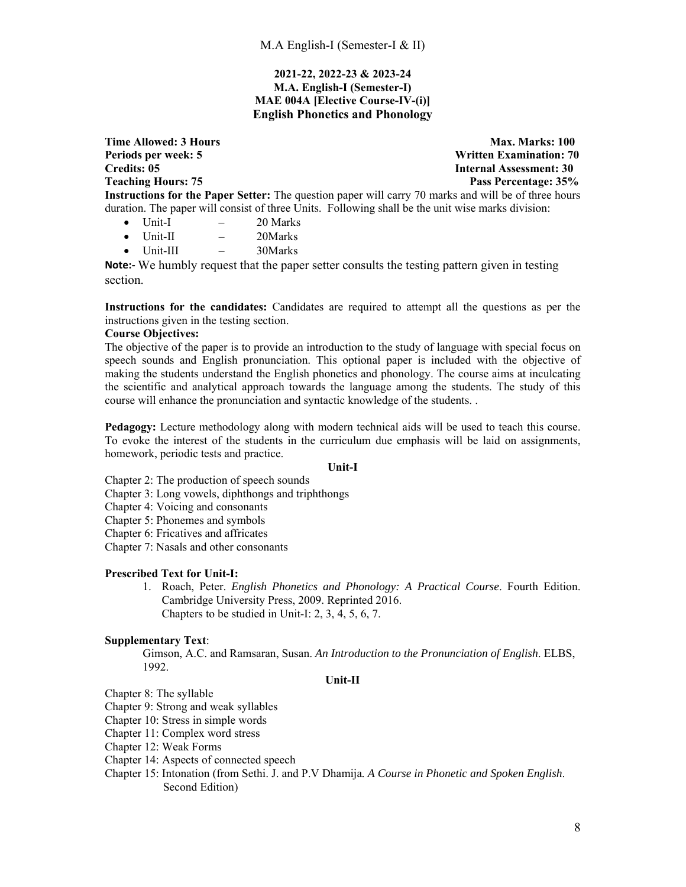# **2021-22, 2022-23 & 2023-24 M.A. English-I (Semester-I) MAE 004A [Elective Course-IV-(i)] English Phonetics and Phonology**

**Time Allowed: 3 Hours** Max. Marks: 100 **Periods per week: 5 Written Examination: 70 Credits: 05 Internal Assessment: 30 Teaching Hours: 75 Pass Percentage: 35% Instructions for the Paper Setter:** The question paper will carry 70 marks and will be of three hours duration. The paper will consist of three Units. Following shall be the unit wise marks division:

- $\bullet$  Unit-I  $-$  20 Marks
- $\bullet$  Unit-II  $-$  20Marks
- Unit-III 30Marks

**Note:‐** We humbly request that the paper setter consults the testing pattern given in testing section.

**Instructions for the candidates:** Candidates are required to attempt all the questions as per the instructions given in the testing section.

# **Course Objectives:**

The objective of the paper is to provide an introduction to the study of language with special focus on speech sounds and English pronunciation. This optional paper is included with the objective of making the students understand the English phonetics and phonology. The course aims at inculcating the scientific and analytical approach towards the language among the students. The study of this course will enhance the pronunciation and syntactic knowledge of the students. .

**Pedagogy:** Lecture methodology along with modern technical aids will be used to teach this course. To evoke the interest of the students in the curriculum due emphasis will be laid on assignments, homework, periodic tests and practice.

## **Unit-I**

Chapter 2: The production of speech sounds

- Chapter 3: Long vowels, diphthongs and triphthongs
- Chapter 4: Voicing and consonants
- Chapter 5: Phonemes and symbols
- Chapter 6: Fricatives and affricates
- Chapter 7: Nasals and other consonants

## **Prescribed Text for Unit-I:**

1. Roach, Peter. *English Phonetics and Phonology: A Practical Course*. Fourth Edition. Cambridge University Press, 2009. Reprinted 2016. Chapters to be studied in Unit-I: 2, 3, 4, 5, 6, 7.

## **Supplementary Text**:

Gimson, A.C. and Ramsaran, Susan. *An Introduction to the Pronunciation of English*. ELBS, 1992.

### **Unit-II**

- Chapter 8: The syllable
- Chapter 9: Strong and weak syllables
- Chapter 10: Stress in simple words
- Chapter 11: Complex word stress
- Chapter 12: Weak Forms
- Chapter 14: Aspects of connected speech
- Chapter 15: Intonation (from Sethi. J. and P.V Dhamija*. A Course in Phonetic and Spoken English*. Second Edition)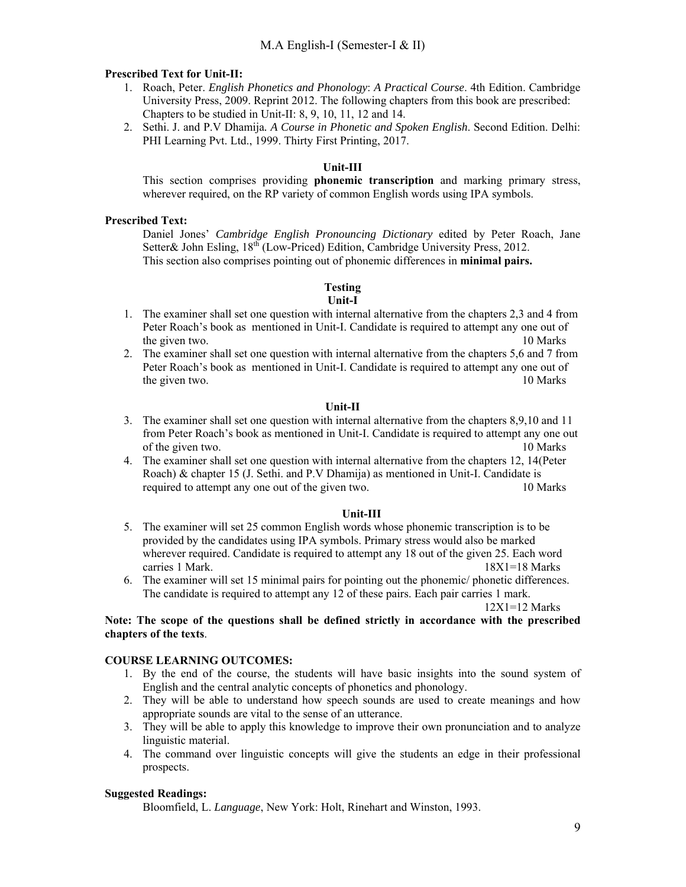## **Prescribed Text for Unit-II:**

- 1. Roach, Peter. *English Phonetics and Phonology*: *A Practical Course*. 4th Edition. Cambridge University Press, 2009. Reprint 2012. The following chapters from this book are prescribed: Chapters to be studied in Unit-II: 8, 9, 10, 11, 12 and 14.
- 2. Sethi. J. and P.V Dhamija*. A Course in Phonetic and Spoken English*. Second Edition. Delhi: PHI Learning Pvt. Ltd., 1999. Thirty First Printing, 2017.

# **Unit-III**

This section comprises providing **phonemic transcription** and marking primary stress, wherever required, on the RP variety of common English words using IPA symbols.

## **Prescribed Text:**

Daniel Jones' *Cambridge English Pronouncing Dictionary* edited by Peter Roach, Jane Setter& John Esling, 18<sup>th</sup> (Low-Priced) Edition, Cambridge University Press, 2012. This section also comprises pointing out of phonemic differences in **minimal pairs.** 

# **Testing**

### **Unit-I**

- 1. The examiner shall set one question with internal alternative from the chapters 2,3 and 4 from Peter Roach's book as mentioned in Unit-I. Candidate is required to attempt any one out of the given two. 10 Marks 10 Marks 10 Marks 10 Marks 10 Marks 10 Marks 10 Marks 10 Marks 10 Marks 10 Marks 10 Marks 10 Marks 10 Marks 10 Marks 10 Marks 10 Marks 10 Marks 10 Marks 10 Marks 10 Marks 10 Marks 10 Marks 10 Marks
- 2. The examiner shall set one question with internal alternative from the chapters 5,6 and 7 from Peter Roach's book as mentioned in Unit-I. Candidate is required to attempt any one out of the given two. 10 Marks 10 Marks 10 Marks 10 Marks 10 Marks 10 Marks 10 Marks 10 Marks 10 Marks 10 Marks 10 Marks 10 Marks 10 Marks 10 Marks 10 Marks 10 Marks 10 Marks 10 Marks 10 Marks 10 Marks 10 Marks 10 Marks 10 Marks

## **Unit-II**

- 3. The examiner shall set one question with internal alternative from the chapters 8,9,10 and 11 from Peter Roach's book as mentioned in Unit-I. Candidate is required to attempt any one out of the given two. 10 Marks
- 4. The examiner shall set one question with internal alternative from the chapters 12, 14(Peter Roach) & chapter 15 (J. Sethi. and P.V Dhamija) as mentioned in Unit-I. Candidate is required to attempt any one out of the given two. 10 Marks

### **Unit-III**

- 5. The examiner will set 25 common English words whose phonemic transcription is to be provided by the candidates using IPA symbols. Primary stress would also be marked wherever required. Candidate is required to attempt any 18 out of the given 25. Each word carries 1 Mark. 18X1=18 Marks
- 6. The examiner will set 15 minimal pairs for pointing out the phonemic/ phonetic differences. The candidate is required to attempt any 12 of these pairs. Each pair carries 1 mark.

## $12X1=12$  Marks

# **Note: The scope of the questions shall be defined strictly in accordance with the prescribed chapters of the texts**.

# **COURSE LEARNING OUTCOMES:**

- 1. By the end of the course, the students will have basic insights into the sound system of English and the central analytic concepts of phonetics and phonology.
- 2. They will be able to understand how speech sounds are used to create meanings and how appropriate sounds are vital to the sense of an utterance.
- 3. They will be able to apply this knowledge to improve their own pronunciation and to analyze linguistic material.
- 4. The command over linguistic concepts will give the students an edge in their professional prospects.

# **Suggested Readings:**

Bloomfield, L. *Language*, New York: Holt, Rinehart and Winston, 1993.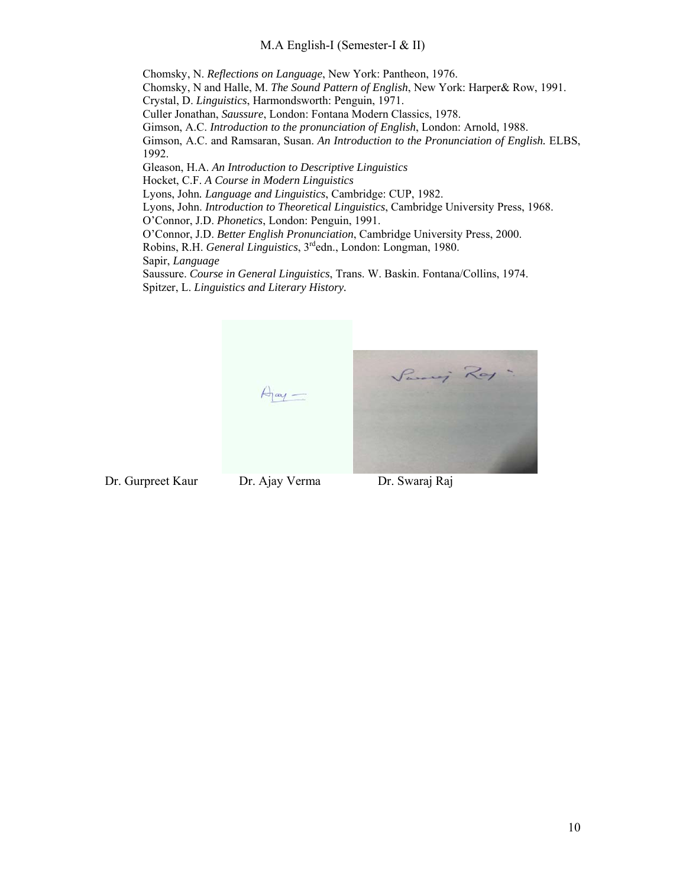Chomsky, N. *Reflections on Language*, New York: Pantheon, 1976. Chomsky, N and Halle, M. *The Sound Pattern of English*, New York: Harper& Row, 1991. Crystal, D. *Linguistics*, Harmondsworth: Penguin, 1971. Culler Jonathan, *Saussure*, London: Fontana Modern Classics, 1978. Gimson, A.C. *Introduction to the pronunciation of English*, London: Arnold, 1988. Gimson, A.C. and Ramsaran, Susan. *An Introduction to the Pronunciation of English.* ELBS, 1992. Gleason, H.A. *An Introduction to Descriptive Linguistics* Hocket, C.F. *A Course in Modern Linguistics*

Lyons, John*. Language and Linguistics*, Cambridge: CUP, 1982.

Lyons, John. *Introduction to Theoretical Linguistics*, Cambridge University Press, 1968.

O'Connor, J.D. *Phonetics*, London: Penguin, 1991.

O'Connor, J.D. *Better English Pronunciation*, Cambridge University Press, 2000.

Robins, R.H. *General Linguistics*, 3rdedn., London: Longman, 1980.

Sapir, *Language*

Saussure. *Course in General Linguistics*, Trans. W. Baskin. Fontana/Collins, 1974. Spitzer, L. *Linguistics and Literary History.* 



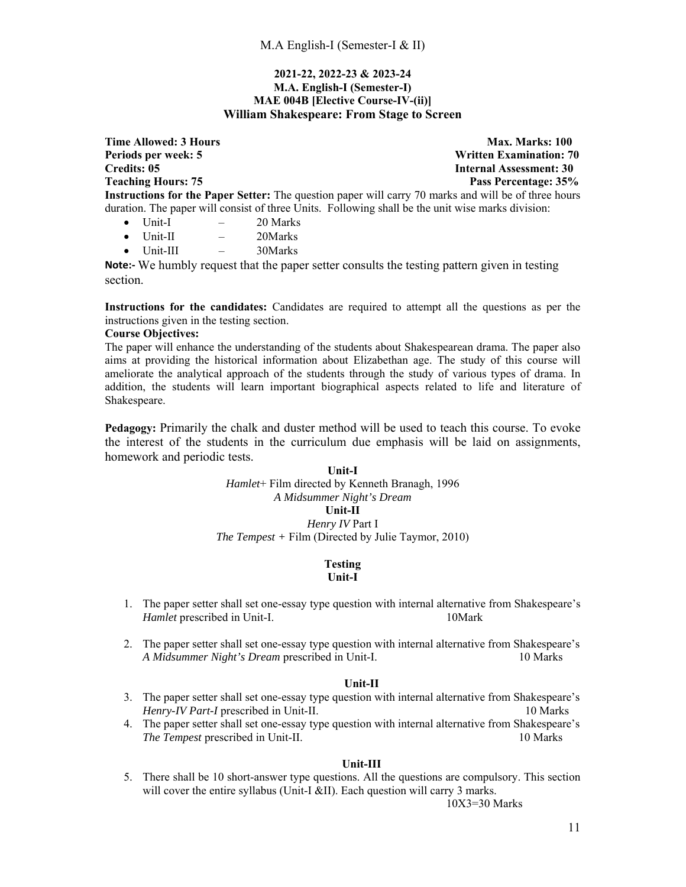## **2021-22, 2022-23 & 2023-24 M.A. English-I (Semester-I) MAE 004B [Elective Course-IV-(ii)] William Shakespeare: From Stage to Screen**

**Time Allowed: 3 Hours** Max. Marks: 100 **Periods per week: 5 Written Examination: 70 Credits: 05 Internal Assessment: 30 Teaching Hours: 75 Pass Percentage: 35% Instructions for the Paper Setter:** The question paper will carry 70 marks and will be of three hours duration. The paper will consist of three Units. Following shall be the unit wise marks division:

- $\bullet$  Unit-I  $-$  20 Marks
- $\bullet$  Unit-II  $-$  20Marks
- Unit-III 30Marks

**Note:‐** We humbly request that the paper setter consults the testing pattern given in testing section.

**Instructions for the candidates:** Candidates are required to attempt all the questions as per the instructions given in the testing section.

## **Course Objectives:**

The paper will enhance the understanding of the students about Shakespearean drama. The paper also aims at providing the historical information about Elizabethan age. The study of this course will ameliorate the analytical approach of the students through the study of various types of drama. In addition, the students will learn important biographical aspects related to life and literature of Shakespeare.

**Pedagogy:** Primarily the chalk and duster method will be used to teach this course. To evoke the interest of the students in the curriculum due emphasis will be laid on assignments, homework and periodic tests.

# **Unit-I** *Hamlet*+ Film directed by Kenneth Branagh, 1996 *A Midsummer Night's Dream*  **Unit-II** *Henry IV* Part I *The Tempest +* Film (Directed by Julie Taymor, 2010)

### **Testing Unit-I**

- 1. The paper setter shall set one-essay type question with internal alternative from Shakespeare's *Hamlet* prescribed in Unit-I. 10Mark
- 2. The paper setter shall set one-essay type question with internal alternative from Shakespeare's *A Midsummer Night's Dream* prescribed in Unit-I. 10 Marks

### **Unit-II**

- 3. The paper setter shall set one-essay type question with internal alternative from Shakespeare's *Henry-IV Part-I* prescribed in Unit-II. 10 Marks
- 4. The paper setter shall set one-essay type question with internal alternative from Shakespeare's *The Tempest* prescribed in Unit-II. 10 Marks

## **Unit-III**

5. There shall be 10 short-answer type questions. All the questions are compulsory. This section will cover the entire syllabus (Unit-I &II). Each question will carry 3 marks.

10X3=30 Marks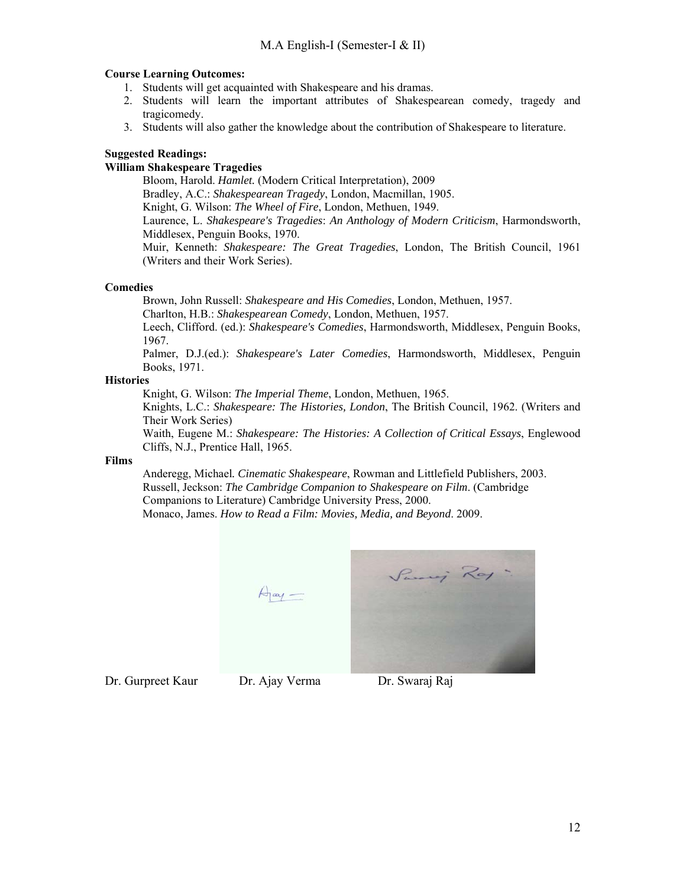# **Course Learning Outcomes:**

- 1. Students will get acquainted with Shakespeare and his dramas.
- 2. Students will learn the important attributes of Shakespearean comedy, tragedy and tragicomedy.
- 3. Students will also gather the knowledge about the contribution of Shakespeare to literature.

# **Suggested Readings:**

# **William Shakespeare Tragedies**

Bloom, Harold. *Hamlet.* (Modern Critical Interpretation), 2009 Bradley, A.C.: *Shakespearean Tragedy*, London, Macmillan, 1905. Knight, G. Wilson: *The Wheel of Fire*, London, Methuen, 1949. Laurence, L. *Shakespeare's Tragedies*: *An Anthology of Modern Criticism*, Harmondsworth, Middlesex, Penguin Books, 1970. Muir, Kenneth: *Shakespeare: The Great Tragedies*, London, The British Council, 1961 (Writers and their Work Series).

## **Comedies**

Brown, John Russell: *Shakespeare and His Comedies*, London, Methuen, 1957.

Charlton, H.B.: *Shakespearean Comedy*, London, Methuen, 1957.

Leech, Clifford. (ed.): *Shakespeare's Comedies*, Harmondsworth, Middlesex, Penguin Books, 1967.

Palmer, D.J.(ed.): *Shakespeare's Later Comedies*, Harmondsworth, Middlesex, Penguin Books, 1971.

# **Histories**

Knight, G. Wilson: *The Imperial Theme*, London, Methuen, 1965.

Knights, L.C.: *Shakespeare: The Histories, London*, The British Council, 1962. (Writers and Their Work Series)

Waith, Eugene M.: *Shakespeare: The Histories: A Collection of Critical Essays*, Englewood Cliffs, N.J., Prentice Hall, 1965.

# **Films**

Anderegg, Michael*. Cinematic Shakespeare*, Rowman and Littlefield Publishers, 2003. Russell, Jeckson: *The Cambridge Companion to Shakespeare on Film*. (Cambridge Companions to Literature) Cambridge University Press, 2000. Monaco, James. *How to Read a Film: Movies, Media, and Beyond*. 2009.

> Paris Ray  $\forall j$  ay  $-$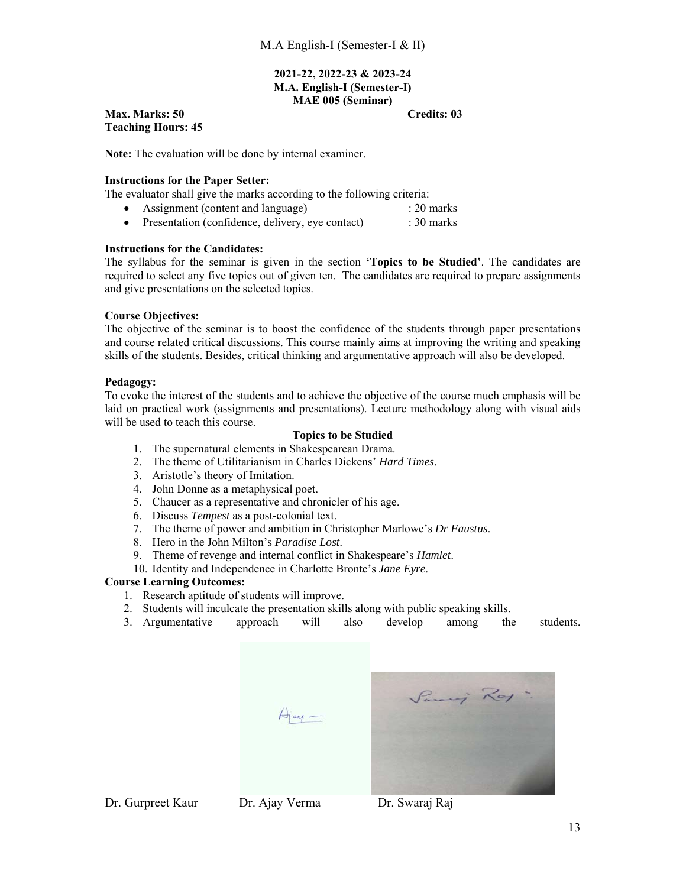### **2021-22, 2022-23 & 2023-24 M.A. English-I (Semester-I) MAE 005 (Seminar)**

# **Max. Marks: 50 Credits: 03 Teaching Hours: 45**

**Note:** The evaluation will be done by internal examiner.

# **Instructions for the Paper Setter:**

The evaluator shall give the marks according to the following criteria:

- Assignment (content and language) : 20 marks
- Presentation (confidence, delivery, eye contact) : 30 marks

# **Instructions for the Candidates:**

The syllabus for the seminar is given in the section **'Topics to be Studied'**. The candidates are required to select any five topics out of given ten. The candidates are required to prepare assignments and give presentations on the selected topics.

# **Course Objectives:**

The objective of the seminar is to boost the confidence of the students through paper presentations and course related critical discussions. This course mainly aims at improving the writing and speaking skills of the students. Besides, critical thinking and argumentative approach will also be developed.

# **Pedagogy:**

To evoke the interest of the students and to achieve the objective of the course much emphasis will be laid on practical work (assignments and presentations). Lecture methodology along with visual aids will be used to teach this course.

# **Topics to be Studied**

- 1. The supernatural elements in Shakespearean Drama.
- 2. The theme of Utilitarianism in Charles Dickens' *Hard Times*.
- 3. Aristotle's theory of Imitation.
- 4. John Donne as a metaphysical poet.
- 5. Chaucer as a representative and chronicler of his age.
- 6. Discuss *Tempest* as a post-colonial text.
- 7. The theme of power and ambition in Christopher Marlowe's *Dr Faustus*.
- 8. Hero in the John Milton's *Paradise Lost*.
- 9. Theme of revenge and internal conflict in Shakespeare's *Hamlet*.
- 10. Identity and Independence in Charlotte Bronte's *Jane Eyre*.

# **Course Learning Outcomes:**

- 1. Research aptitude of students will improve.
- 2. Students will inculcate the presentation skills along with public speaking skills.
- 3. Argumentative approach will also develop among the students.



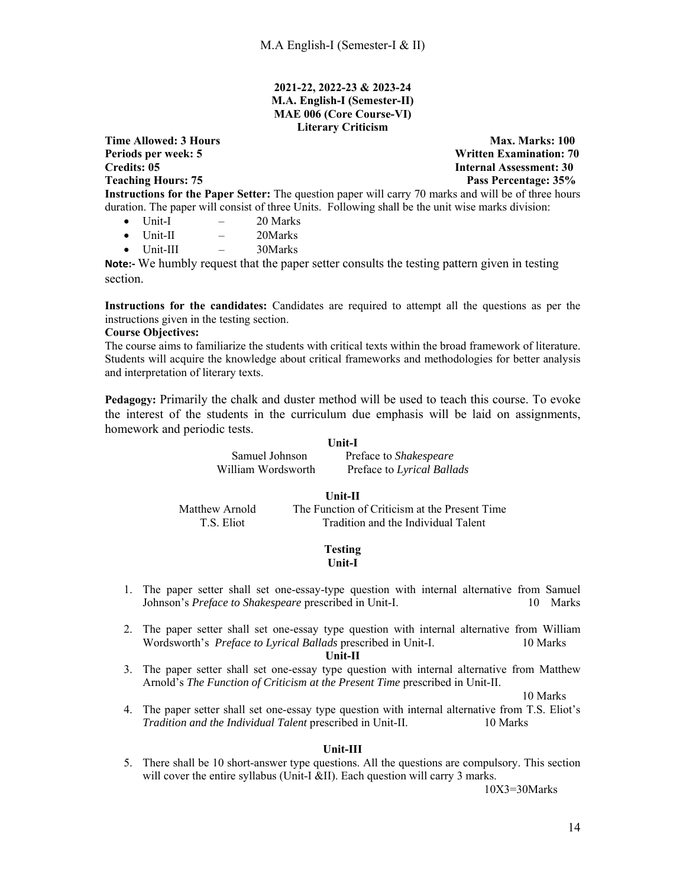## **2021-22, 2022-23 & 2023-24 M.A. English-I (Semester-II) MAE 006 (Core Course-VI) Literary Criticism**

**Time Allowed: 3 Hours Max. Marks: 100 Max. Marks: 100 Periods per week: 5 Written Examination: 70 Credits: 05 Internal Assessment: 30 Teaching Hours: 75 Pass Percentage: 35%**  Pass Percentage: 35% **Instructions for the Paper Setter:** The question paper will carry 70 marks and will be of three hours duration. The paper will consist of three Units. Following shall be the unit wise marks division:

- $\bullet$  Unit-I  $-$  20 Marks
- Unit-II 20Marks
- $\bullet$  Unit-III  $-$  30Marks

**Note:** We humbly request that the paper setter consults the testing pattern given in testing section.

**Instructions for the candidates:** Candidates are required to attempt all the questions as per the instructions given in the testing section.

### **Course Objectives:**

The course aims to familiarize the students with critical texts within the broad framework of literature. Students will acquire the knowledge about critical frameworks and methodologies for better analysis and interpretation of literary texts.

**Pedagogy:** Primarily the chalk and duster method will be used to teach this course. To evoke the interest of the students in the curriculum due emphasis will be laid on assignments, homework and periodic tests.

#### **Unit-I**

Samuel Johnson Preface to *Shakespeare*  Preface to *Lyrical Ballads* 

### **Unit-II**

Matthew Arnold The Function of Criticism at the Present Time T.S. Eliot Tradition and the Individual Talent

#### **Testing Unit-I**

- 1. The paper setter shall set one-essay-type question with internal alternative from Samuel Johnson's *Preface to Shakespeare* prescribed in Unit-I. 10 Marks
- 2. The paper setter shall set one-essay type question with internal alternative from William Wordsworth's *Preface to Lyrical Ballads* prescribed in Unit-I. 10 Marks

#### **Unit-II**

3. The paper setter shall set one-essay type question with internal alternative from Matthew Arnold's *The Function of Criticism at the Present Time* prescribed in Unit-II.

10 Marks

4. The paper setter shall set one-essay type question with internal alternative from T.S. Eliot's *Tradition and the Individual Talent* prescribed in Unit-II. 10 Marks

### **Unit-III**

5. There shall be 10 short-answer type questions. All the questions are compulsory. This section will cover the entire syllabus (Unit-I &II). Each question will carry 3 marks.

10X3=30Marks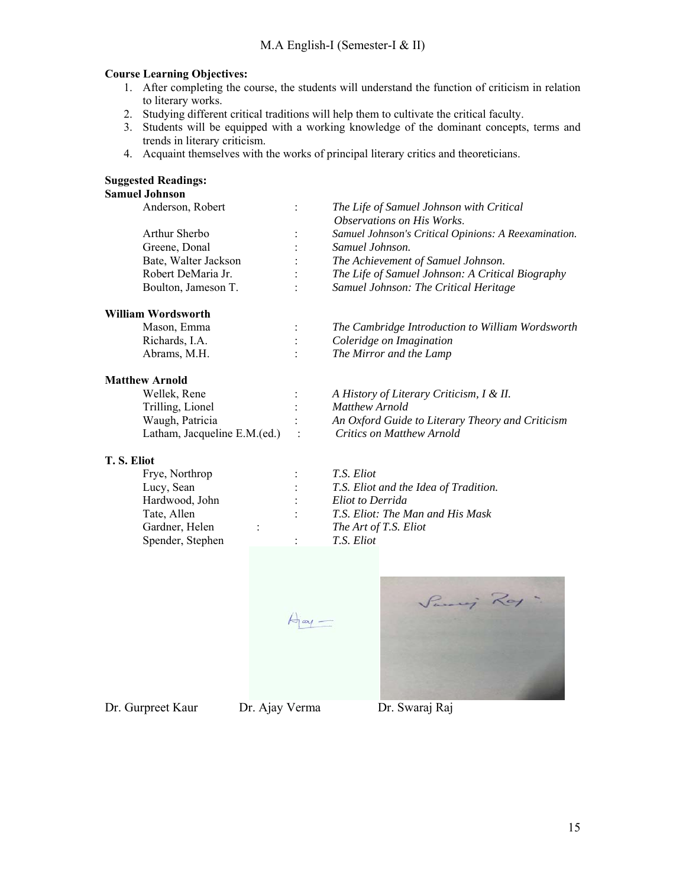# **Course Learning Objectives:**

- 1. After completing the course, the students will understand the function of criticism in relation to literary works.
- 2. Studying different critical traditions will help them to cultivate the critical faculty.
- 3. Students will be equipped with a working knowledge of the dominant concepts, terms and trends in literary criticism.
- 4. Acquaint themselves with the works of principal literary critics and theoreticians.

# **Suggested Readings:**

# **Samuel Johnson**

| Anderson, Robert     |                      | The Life of Samuel Johnson with Critical             |
|----------------------|----------------------|------------------------------------------------------|
|                      |                      | Observations on His Works.                           |
| Arthur Sherbo        | $\ddot{\cdot}$       | Samuel Johnson's Critical Opinions: A Reexamination. |
| Greene, Donal        |                      | Samuel Johnson.                                      |
| Bate, Walter Jackson | $\ddot{\cdot}$       | The Achievement of Samuel Johnson.                   |
| Robert DeMaria Jr.   | $\ddot{\phantom{0}}$ | The Life of Samuel Johnson: A Critical Biography     |
| Boulton, Jameson T.  | $\ddot{\phantom{a}}$ | Samuel Johnson: The Critical Heritage                |
|                      |                      |                                                      |

# **William Wordsworth**

| Mason, Emma    | The Cambridge Introduction to William Wordsworth |
|----------------|--------------------------------------------------|
| Richards, I.A. | Coleridge on Imagination                         |
| Abrams, M.H.   | The Mirror and the Lamp                          |

## **Matthew Arnold**

| $\ddot{\cdot}$ | A History of Lite     |
|----------------|-----------------------|
| ٠              | <b>Matthew Arnold</b> |
| $\ddot{\cdot}$ | An Oxford Guid        |
|                | Critics on Matti      |
|                |                       |

# **T. S. Eliot**

| Frye, Northrop   |  |
|------------------|--|
| Lucy, Sean       |  |
| Hardwood, John   |  |
| Tate, Allen      |  |
| Gardner, Helen   |  |
| Spender, Stephen |  |

f Literary Criticism, I & II.

Waugh, Patricia : *An Oxford Guide to Literary Theory and Criticism*  Latham, Jacqueline E.M.(ed.) : *Critics on Matthew Arnold*

Frye, Northrop : *T.S. Eliot*  : *T.S. Eliot and the Idea of Tradition.* : *Eliot to Derrida* : *T.S. Eliot: The Man and His Mask* The Art of T.S. Eliot Spender, Stephen : *T.S. Eliot*

 $\lim_{\leftarrow}$ 

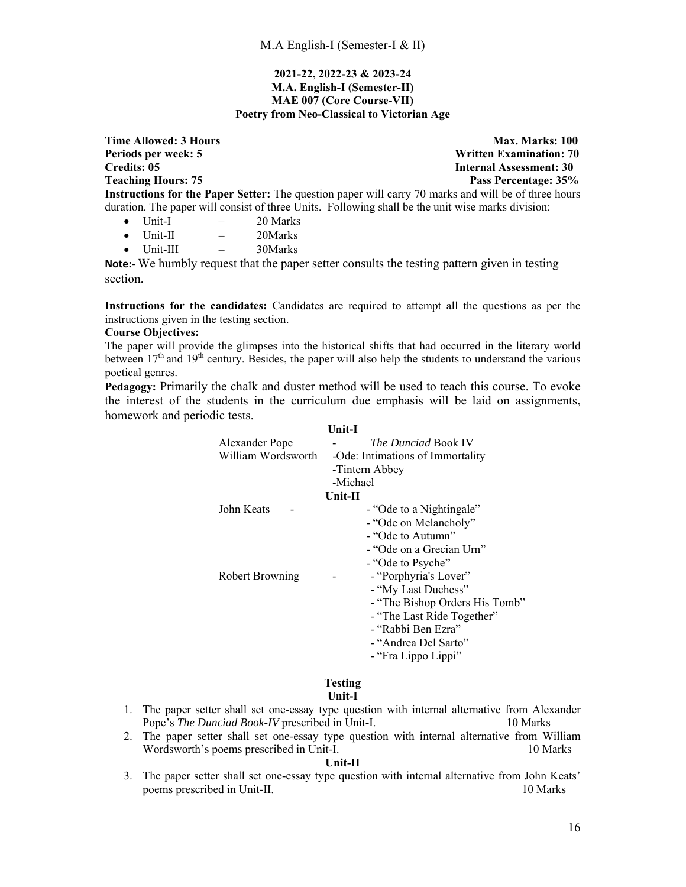## **2021-22, 2022-23 & 2023-24 M.A. English-I (Semester-II) MAE 007 (Core Course-VII) Poetry from Neo-Classical to Victorian Age**

**Time Allowed: 3 Hours** Max. Marks: 100 **Periods per week: 5 Written Examination: 70 Credits: 05 Internal Assessment: 30 Teaching Hours: 75 Pass Percentage: 35% Instructions for the Paper Setter:** The question paper will carry 70 marks and will be of three hours duration. The paper will consist of three Units. Following shall be the unit wise marks division:

- $\bullet$  Unit-I  $-$  20 Marks
- Unit-II 20Marks
- Unit-III 30Marks

**Note:** We humbly request that the paper setter consults the testing pattern given in testing section.

**Instructions for the candidates:** Candidates are required to attempt all the questions as per the instructions given in the testing section.

### **Course Objectives:**

The paper will provide the glimpses into the historical shifts that had occurred in the literary world between  $17<sup>th</sup>$  and  $19<sup>th</sup>$  century. Besides, the paper will also help the students to understand the various poetical genres.

**Pedagogy:** Primarily the chalk and duster method will be used to teach this course. To evoke the interest of the students in the curriculum due emphasis will be laid on assignments, homework and periodic tests.

|                        | <b>Unit-I</b>                    |
|------------------------|----------------------------------|
| Alexander Pope         | <i>The Dunciad</i> Book IV       |
| William Wordsworth     | -Ode: Intimations of Immortality |
|                        | -Tintern Abbey                   |
|                        | -Michael                         |
|                        | Unit-II                          |
| John Keats             | - "Ode to a Nightingale"         |
|                        | - "Ode on Melancholy"            |
|                        | - "Ode to Autumn"                |
|                        | - "Ode on a Grecian Urn"         |
|                        | - "Ode to Psyche"                |
| <b>Robert Browning</b> | - "Porphyria's Lover"<br>-       |
|                        | - "My Last Duchess"              |
|                        | - "The Bishop Orders His Tomb"   |
|                        | - "The Last Ride Together"       |
|                        | - "Rabbi Ben Ezra"               |
|                        | - "Andrea Del Sarto"             |
|                        | - "Fra Lippo Lippi"              |
|                        |                                  |

#### **Testing Unit-I**

- 1. The paper setter shall set one-essay type question with internal alternative from Alexander Pope's *The Dunciad Book-IV* prescribed in Unit-I. 10 Marks
- 2. The paper setter shall set one-essay type question with internal alternative from William Wordsworth's poems prescribed in Unit-I. 10 Marks 10 Marks

## **Unit-II**

3. The paper setter shall set one-essay type question with internal alternative from John Keats' poems prescribed in Unit-II. 10 Marks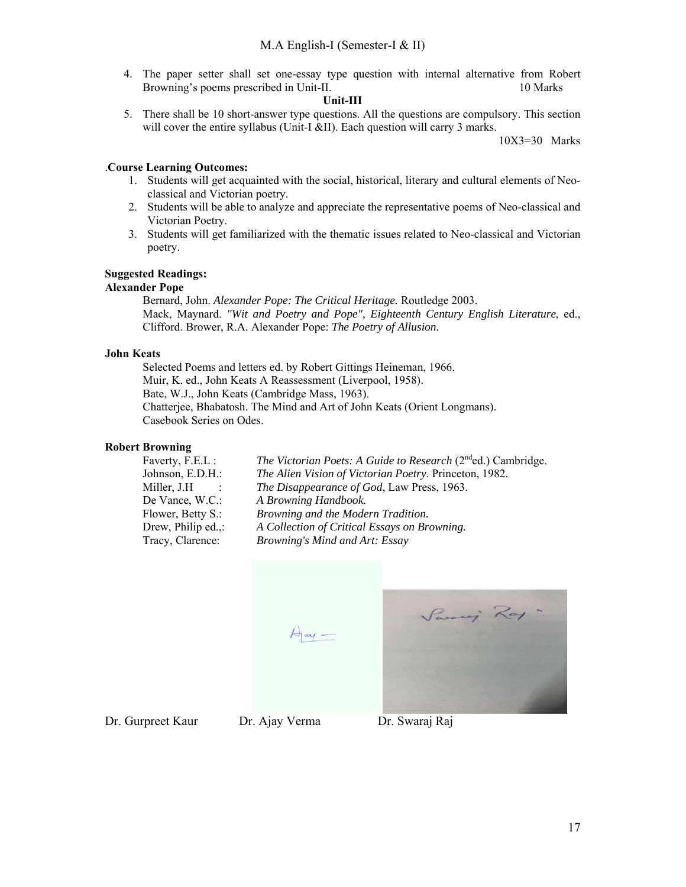4. The paper setter shall set one-essay type question with internal alternative from Robert Browning's poems prescribed in Unit-II. 10 Marks 10 Marks

### **Unit-III**

5. There shall be 10 short-answer type questions. All the questions are compulsory. This section will cover the entire syllabus (Unit-I &II). Each question will carry 3 marks.

10X3=30 Marks

# .**Course Learning Outcomes:**

- 1. Students will get acquainted with the social, historical, literary and cultural elements of Neoclassical and Victorian poetry.
- 2. Students will be able to analyze and appreciate the representative poems of Neo-classical and Victorian Poetry.
- 3. Students will get familiarized with the thematic issues related to Neo-classical and Victorian poetry.

# **Suggested Readings:**

## **Alexander Pope**

Bernard, John. *Alexander Pope: The Critical Heritage.* Routledge 2003. Mack, Maynard. *"Wit and Poetry and Pope", Eighteenth Century English Literature*, ed., Clifford. Brower, R.A. Alexander Pope: *The Poetry of Allusion.*

# **John Keats**

Selected Poems and letters ed. by Robert Gittings Heineman, 1966. Muir, K. ed., John Keats A Reassessment (Liverpool, 1958). Bate, W.J., John Keats (Cambridge Mass, 1963). Chatterjee, Bhabatosh. The Mind and Art of John Keats (Orient Longmans). Casebook Series on Odes.

## **Robert Browning**

| Faverty, F.E.L :   | The Victorian Poets: A Guide to Research $(2^{nd}$ ed.) Cambridge. |
|--------------------|--------------------------------------------------------------------|
| Johnson, E.D.H.:   | The Alien Vision of Victorian Poetry. Princeton, 1982.             |
| Miller, J.H        | <i>The Disappearance of God</i> , Law Press, 1963.                 |
| De Vance, W.C.:    | A Browning Handbook.                                               |
| Flower, Betty S.:  | Browning and the Modern Tradition.                                 |
| Drew, Philip ed.,: | A Collection of Critical Essays on Browning.                       |
| Tracy, Clarence:   | Browning's Mind and Art: Essay                                     |
|                    |                                                                    |

Sami Roy  $A<sub>l</sub> =$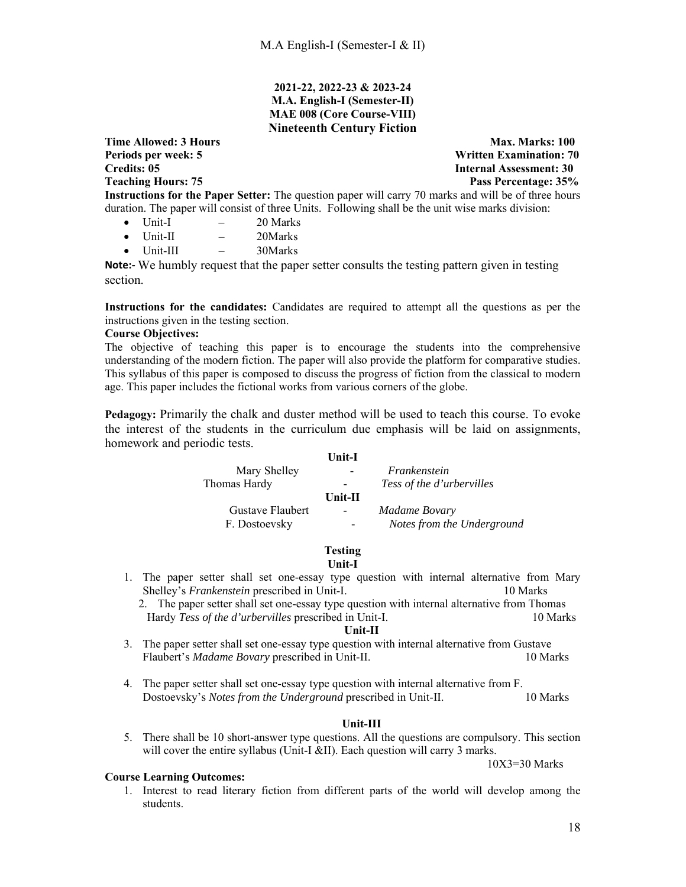# **2021-22, 2022-23 & 2023-24 M.A. English-I (Semester-II) MAE 008 (Core Course-VIII) Nineteenth Century Fiction**

**Time Allowed: 3 Hours** Max. Marks: 100 **Periods per week: 5 Written Examination: 70 Credits: 05 Internal Assessment: 30 Teaching Hours: 75 Pass Percentage: 35% Instructions for the Paper Setter:** The question paper will carry 70 marks and will be of three hours duration. The paper will consist of three Units. Following shall be the unit wise marks division:

- $\bullet$  Unit-I  $-$  20 Marks
- $\bullet$  Unit-II  $-$  20Marks
- $\bullet$  Unit-III  $-$  30Marks

**Note:‐** We humbly request that the paper setter consults the testing pattern given in testing section.

**Instructions for the candidates:** Candidates are required to attempt all the questions as per the instructions given in the testing section.

## **Course Objectives:**

The objective of teaching this paper is to encourage the students into the comprehensive understanding of the modern fiction. The paper will also provide the platform for comparative studies. This syllabus of this paper is composed to discuss the progress of fiction from the classical to modern age. This paper includes the fictional works from various corners of the globe.

**Pedagogy:** Primarily the chalk and duster method will be used to teach this course. To evoke the interest of the students in the curriculum due emphasis will be laid on assignments, homework and periodic tests.

| <b>Unit-I</b>            |                                  |
|--------------------------|----------------------------------|
|                          | Frankenstein                     |
| $\overline{\phantom{a}}$ | <i>Tess of the d'urbervilles</i> |
| $Unit-II$                |                                  |
| $\overline{\phantom{a}}$ | Madame Bovary                    |
|                          | Notes from the Underground       |
|                          |                                  |

# **Testing**

**Unit-I** 

- 1. The paper setter shall set one-essay type question with internal alternative from Mary Shelley's *Frankenstein* prescribed in Unit-I. 10 Marks
	- 2. The paper setter shall set one-essay type question with internal alternative from Thomas Hardy *Tess of the d'urbervilles* prescribed in Unit-I. 10 Marks

### **Unit-II**

- 3. The paper setter shall set one-essay type question with internal alternative from Gustave Flaubert's *Madame Bovary* prescribed in Unit-II. 10 Marks 10 Marks
- 4. The paper setter shall set one-essay type question with internal alternative from F. Dostoevsky's *Notes from the Underground* prescribed in Unit-II. 10 Marks

## **Unit-III**

5. There shall be 10 short-answer type questions. All the questions are compulsory. This section will cover the entire syllabus (Unit-I &II). Each question will carry 3 marks.

10X3=30 Marks

## **Course Learning Outcomes:**

1. Interest to read literary fiction from different parts of the world will develop among the students.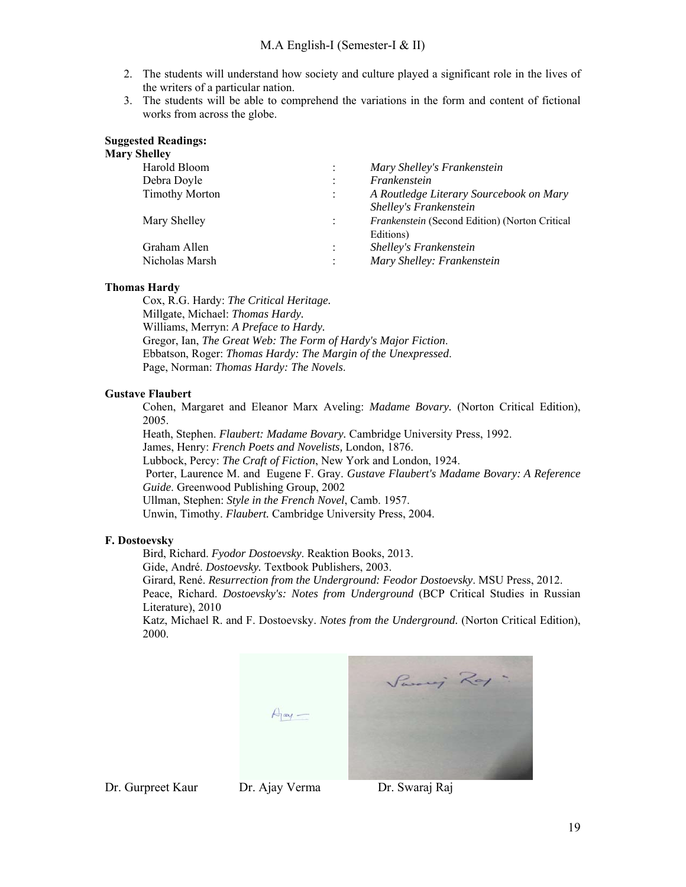- 2. The students will understand how society and culture played a significant role in the lives of the writers of a particular nation.
- 3. The students will be able to comprehend the variations in the form and content of fictional works from across the globe.

### **Suggested Readings:**

# **Mary Shelley**

| ,,,,,,                |                      |                                                |
|-----------------------|----------------------|------------------------------------------------|
| Harold Bloom          | $\ddot{\cdot}$       | Mary Shelley's Frankenstein                    |
| Debra Doyle           | $\ddot{\cdot}$       | Frankenstein                                   |
| <b>Timothy Morton</b> | $\ddot{\cdot}$       | A Routledge Literary Sourcebook on Mary        |
|                       |                      | Shelley's Frankenstein                         |
| Mary Shelley          | $\ddot{\phantom{a}}$ | Frankenstein (Second Edition) (Norton Critical |
|                       |                      | Editions)                                      |
| Graham Allen          | $\ddot{\cdot}$       | Shelley's Frankenstein                         |
| Nicholas Marsh        | $\ddot{\cdot}$       | Mary Shelley: Frankenstein                     |
|                       |                      |                                                |

### **Thomas Hardy**

Cox, R.G. Hardy: *The Critical Heritage.* Millgate, Michael: *Thomas Hardy.* Williams, Merryn: *A Preface to Hardy.*  Gregor, Ian, *The Great Web: The Form of Hardy's Major Fiction*. Ebbatson, Roger: *Thomas Hardy: The Margin of the Unexpressed*. Page, Norman: *Thomas Hardy: The Novels*.

## **Gustave Flaubert**

Cohen, Margaret and Eleanor Marx Aveling: *Madame Bovary.* (Norton Critical Edition), 2005.

Heath, Stephen. *Flaubert: Madame Bovary.* Cambridge University Press, 1992. James, Henry: *French Poets and Novelists,* London, 1876. Lubbock, Percy: *The Craft of Fiction*, New York and London, 1924. Porter, Laurence M. and Eugene F. Gray. *Gustave Flaubert's Madame Bovary: A Reference Guide*. Greenwood Publishing Group, 2002 Ullman, Stephen: *Style in the French Novel*, Camb. 1957. Unwin, Timothy. *Flaubert.* Cambridge University Press, 2004.

### **F. Dostoevsky**

Bird, Richard. *Fyodor Dostoevsky*. Reaktion Books, 2013.

Gide, André. *Dostoevsky.* Textbook Publishers, 2003.

Girard, René. *Resurrection from the Underground: Feodor Dostoevsky*. MSU Press, 2012. Peace, Richard. *Dostoevsky's: Notes from Underground* (BCP Critical Studies in Russian Literature), 2010

Katz, Michael R. and F. Dostoevsky. *Notes from the Underground.* (Norton Critical Edition), 2000.



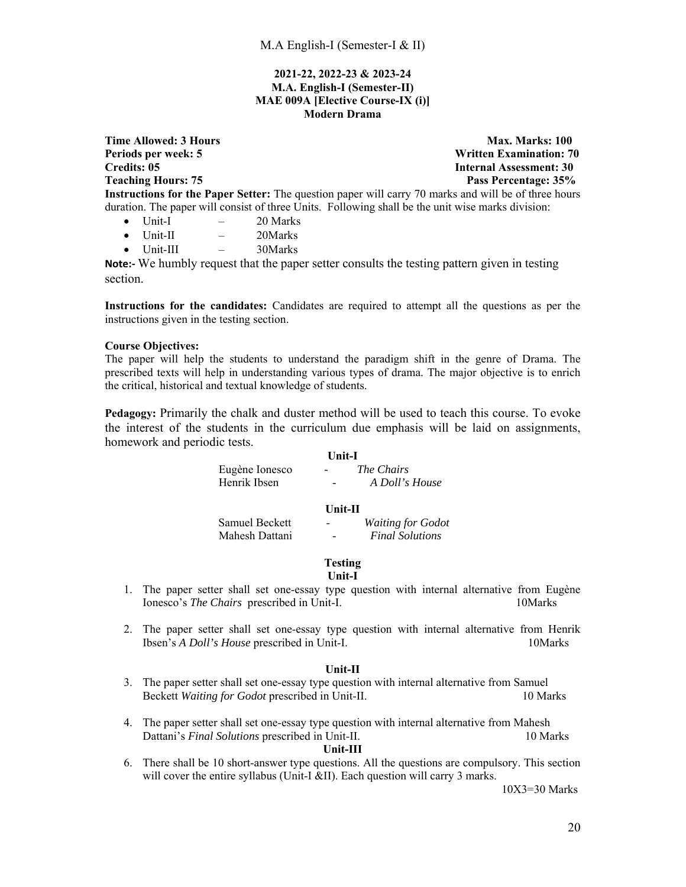## **2021-22, 2022-23 & 2023-24 M.A. English-I (Semester-II) MAE 009A [Elective Course-IX (i)] Modern Drama**

**Time Allowed: 3 Hours** Max. Marks: 100 Periods per week: 5 **Written Examination: 70**<br>Credits: 05 **Metally Reserves America** Superior Superior Superior Superior Superior Superior Superior Superior Superior Superior Superior Superior Superior Superior Superior Su **Internal Assessment: 30 Teaching Hours: 75 Pass Percentage: 35%**  Pass Percentage: 35% **Instructions for the Paper Setter:** The question paper will carry 70 marks and will be of three hours duration. The paper will consist of three Units. Following shall be the unit wise marks division:

- $\bullet$  Unit-I  $-$  20 Marks
- Unit-II 20Marks
- Unit-III 30Marks

**Note:** We humbly request that the paper setter consults the testing pattern given in testing section.

**Instructions for the candidates:** Candidates are required to attempt all the questions as per the instructions given in the testing section.

### **Course Objectives:**

The paper will help the students to understand the paradigm shift in the genre of Drama. The prescribed texts will help in understanding various types of drama. The major objective is to enrich the critical, historical and textual knowledge of students.

**Pedagogy:** Primarily the chalk and duster method will be used to teach this course. To evoke the interest of the students in the curriculum due emphasis will be laid on assignments, homework and periodic tests.

|                | <b>Unit-I</b>            |  |  |
|----------------|--------------------------|--|--|
| Eugène Ionesco | <i>The Chairs</i>        |  |  |
| Henrik Ibsen   | A Doll's House           |  |  |
|                | Unit-II                  |  |  |
| Samuel Beckett | <b>Waiting for Godot</b> |  |  |
| Mahesh Dattani | <b>Final Solutions</b>   |  |  |

# **Testing**

- **Unit-I**
- 1. The paper setter shall set one-essay type question with internal alternative from Eugène Ionesco's *The Chairs* prescribed in Unit-I. 10Marks
- 2. The paper setter shall set one-essay type question with internal alternative from Henrik Ibsen's *A Doll's House* prescribed in Unit-I. 10Marks

# **Unit-II**

- 3. The paper setter shall set one-essay type question with internal alternative from Samuel Beckett *Waiting for Godot* prescribed in Unit-II. 10 Marks
- 4. The paper setter shall set one-essay type question with internal alternative from Mahesh Dattani's *Final Solutions* prescribed in Unit-II. 10 Marks

### **Unit-III**

6. There shall be 10 short-answer type questions. All the questions are compulsory. This section will cover the entire syllabus (Unit-I &II). Each question will carry 3 marks.

10X3=30 Marks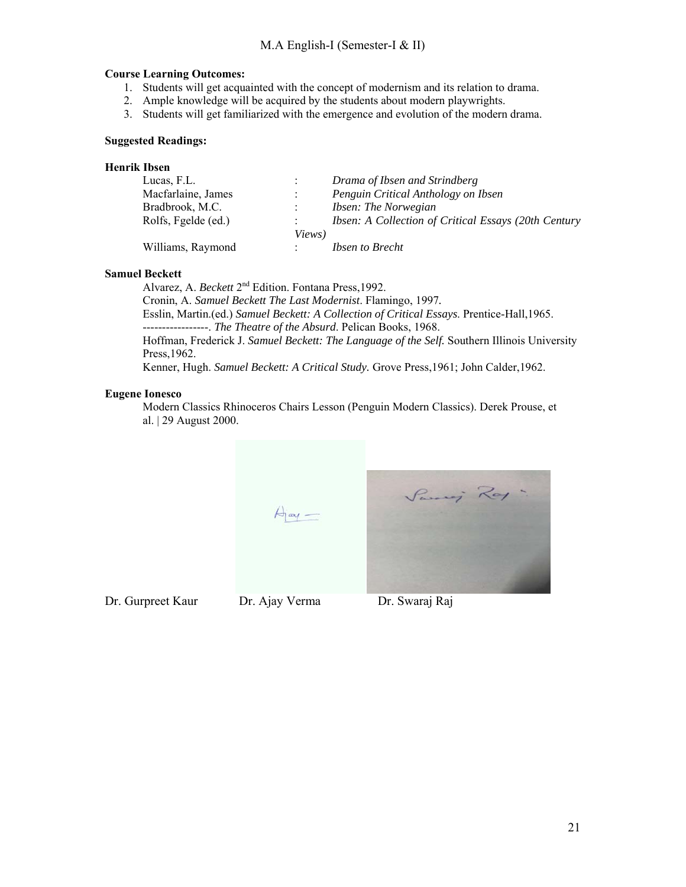# **Course Learning Outcomes:**

- 1. Students will get acquainted with the concept of modernism and its relation to drama.
- 2. Ample knowledge will be acquired by the students about modern playwrights.
- 3. Students will get familiarized with the emergence and evolution of the modern drama.

## **Suggested Readings:**

# **Henrik Ibsen**

| Lucas, F.L.         |        | Drama of Ibsen and Strindberg                        |
|---------------------|--------|------------------------------------------------------|
| Macfarlaine, James  |        | Penguin Critical Anthology on Ibsen                  |
| Bradbrook, M.C.     |        | <i><b>Ibsen: The Norwegian</b></i>                   |
| Rolfs, Fgelde (ed.) |        | Ibsen: A Collection of Critical Essays (20th Century |
|                     | Views) |                                                      |
| Williams, Raymond   |        | <i><b>Ibsen to Brecht</b></i>                        |

### **Samuel Beckett**

Alvarez, A. *Beckett* 2nd Edition. Fontana Press,1992.

Cronin, A. *Samuel Beckett The Last Modernist*. Flamingo, 1997*.* Esslin, Martin.(ed.) *Samuel Beckett: A Collection of Critical Essays*. Prentice-Hall,1965. -----------------. *The Theatre of the Absurd*. Pelican Books, 1968. Hoffman, Frederick J. *Samuel Beckett: The Language of the Self.* Southern Illinois University Press,1962.

Kenner, Hugh. *Samuel Beckett: A Critical Study.* Grove Press,1961; John Calder,1962.

## **Eugene Ionesco**

Modern Classics Rhinoceros Chairs Lesson (Penguin Modern Classics). Derek Prouse, et al. | 29 August 2000.

 $\lim_{\leftarrow}$ 

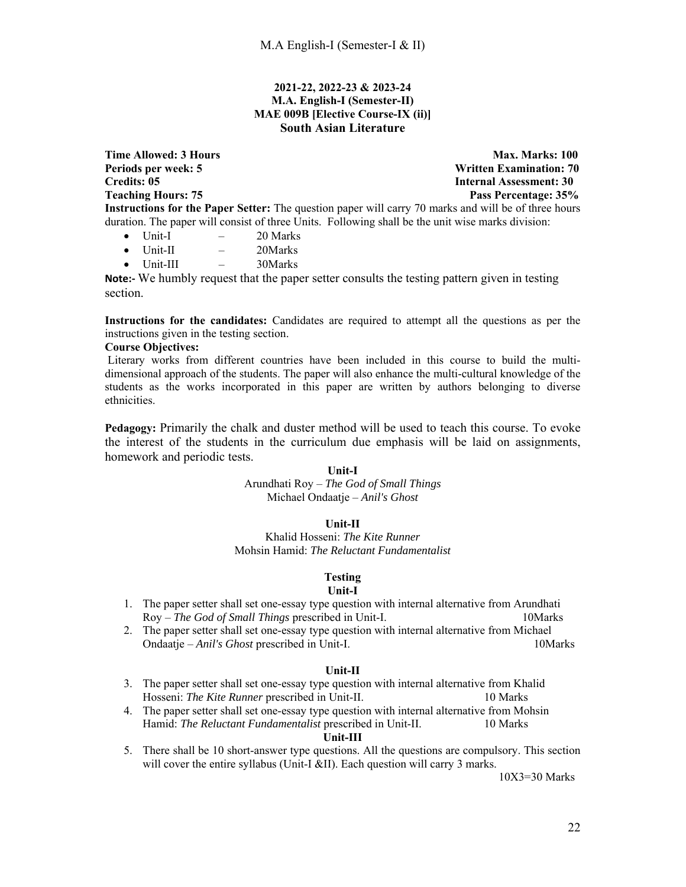## **2021-22, 2022-23 & 2023-24 M.A. English-I (Semester-II) MAE 009B [Elective Course-IX (ii)] South Asian Literature**

**Time Allowed: 3 Hours** Max. Marks: 100 **Periods per week: 5 Written Examination: 70 Credits: 05 Internal Assessment: 30 Teaching Hours: 75** Pass Percentage: 35% **Instructions for the Paper Setter:** The question paper will carry 70 marks and will be of three hours duration. The paper will consist of three Units. Following shall be the unit wise marks division:  $\bullet$  Unit-I  $-$  20 Marks

- $\bullet$  Unit-II  $-$  20Marks
- Unit-III 30Marks

**Note:** We humbly request that the paper setter consults the testing pattern given in testing section.

**Instructions for the candidates:** Candidates are required to attempt all the questions as per the instructions given in the testing section.

## **Course Objectives:**

 Literary works from different countries have been included in this course to build the multidimensional approach of the students. The paper will also enhance the multi-cultural knowledge of the students as the works incorporated in this paper are written by authors belonging to diverse ethnicities.

**Pedagogy:** Primarily the chalk and duster method will be used to teach this course. To evoke the interest of the students in the curriculum due emphasis will be laid on assignments, homework and periodic tests.

## **Unit-I**

Arundhati Roy – *The God of Small Things*  Michael Ondaatje – *Anil's Ghost* 

# **Unit-II**

Khalid Hosseni: *The Kite Runner* Mohsin Hamid: *The Reluctant Fundamentalist*

## **Testing**

### **Unit-I**

- 1. The paper setter shall set one-essay type question with internal alternative from Arundhati Roy – *The God of Small Things* prescribed in Unit-I. 10Marks
- 2. The paper setter shall set one-essay type question with internal alternative from Michael Ondaatje – *Anil's Ghost* prescribed in Unit-I. 10Marks

## **Unit-II**

- 3. The paper setter shall set one-essay type question with internal alternative from Khalid Hosseni: *The Kite Runner* prescribed in Unit-II. 10 Marks
- 4. The paper setter shall set one-essay type question with internal alternative from Mohsin Hamid: *The Reluctant Fundamentalist* prescribed in Unit-II. 10 Marks

### **Unit-III**

5. There shall be 10 short-answer type questions. All the questions are compulsory. This section will cover the entire syllabus (Unit-I &II). Each question will carry 3 marks.

10X3=30 Marks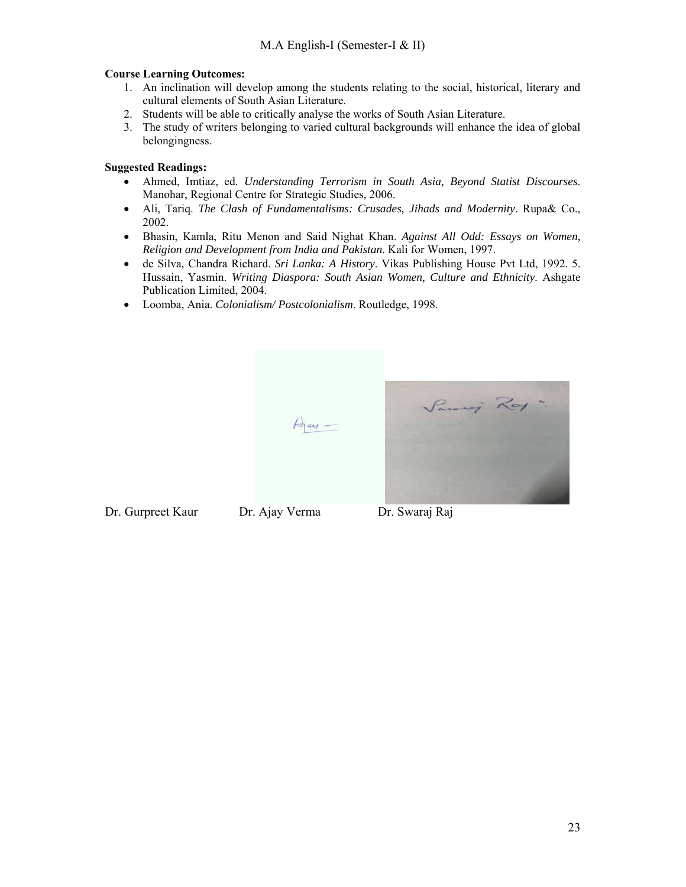# **Course Learning Outcomes:**

- 1. An inclination will develop among the students relating to the social, historical, literary and cultural elements of South Asian Literature.
- 2. Students will be able to critically analyse the works of South Asian Literature.
- 3. The study of writers belonging to varied cultural backgrounds will enhance the idea of global belongingness.

# **Suggested Readings:**

- Ahmed, Imtiaz, ed. *Understanding Terrorism in South Asia, Beyond Statist Discourses*. Manohar, Regional Centre for Strategic Studies, 2006.
- Ali, Tariq. *The Clash of Fundamentalisms: Crusades, Jihads and Modernity*. Rupa& Co., 2002.
- Bhasin, Kamla, Ritu Menon and Said Nighat Khan. *Against All Odd: Essays on Women, Religion and Development from India and Pakistan*. Kali for Women, 1997.
- de Silva, Chandra Richard. *Sri Lanka: A History*. Vikas Publishing House Pvt Ltd, 1992. 5. Hussain, Yasmin. *Writing Diaspora: South Asian Women, Culture and Ethnicity*. Ashgate Publication Limited, 2004.
- Loomba, Ania. *Colonialism/ Postcolonialism*. Routledge, 1998.



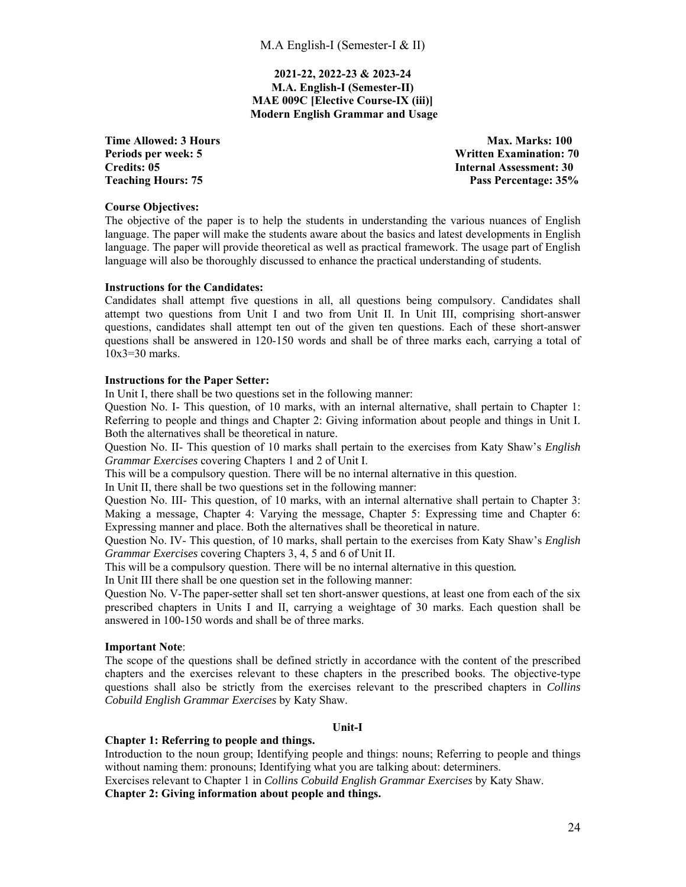**2021-22, 2022-23 & 2023-24 M.A. English-I (Semester-II) MAE 009C [Elective Course-IX (iii)] Modern English Grammar and Usage** 

**Time Allowed: 3 Hours** Max. Marks: 100 **Periods per week: 5 Written Examination: 70 Credits: 05 Internal Assessment: 30 Teaching Hours: 75 Pass Percentage: 35%** 

### **Course Objectives:**

The objective of the paper is to help the students in understanding the various nuances of English language. The paper will make the students aware about the basics and latest developments in English language. The paper will provide theoretical as well as practical framework. The usage part of English language will also be thoroughly discussed to enhance the practical understanding of students.

### **Instructions for the Candidates:**

Candidates shall attempt five questions in all, all questions being compulsory. Candidates shall attempt two questions from Unit I and two from Unit II. In Unit III, comprising short-answer questions, candidates shall attempt ten out of the given ten questions. Each of these short-answer questions shall be answered in 120-150 words and shall be of three marks each, carrying a total of 10x3=30 marks.

### **Instructions for the Paper Setter:**

In Unit I, there shall be two questions set in the following manner:

Question No. I- This question, of 10 marks, with an internal alternative, shall pertain to Chapter 1: Referring to people and things and Chapter 2: Giving information about people and things in Unit I. Both the alternatives shall be theoretical in nature.

Question No. II- This question of 10 marks shall pertain to the exercises from Katy Shaw's *English Grammar Exercises* covering Chapters 1 and 2 of Unit I.

This will be a compulsory question. There will be no internal alternative in this question.

In Unit II, there shall be two questions set in the following manner:

Question No. III- This question, of 10 marks, with an internal alternative shall pertain to Chapter 3: Making a message, Chapter 4: Varying the message, Chapter 5: Expressing time and Chapter 6: Expressing manner and place. Both the alternatives shall be theoretical in nature.

Question No. IV- This question, of 10 marks, shall pertain to the exercises from Katy Shaw's *English Grammar Exercises* covering Chapters 3, 4, 5 and 6 of Unit II.

This will be a compulsory question. There will be no internal alternative in this question*.*

In Unit III there shall be one question set in the following manner:

Question No. V-The paper-setter shall set ten short-answer questions, at least one from each of the six prescribed chapters in Units I and II, carrying a weightage of 30 marks. Each question shall be answered in 100-150 words and shall be of three marks.

## **Important Note**:

The scope of the questions shall be defined strictly in accordance with the content of the prescribed chapters and the exercises relevant to these chapters in the prescribed books. The objective-type questions shall also be strictly from the exercises relevant to the prescribed chapters in *Collins Cobuild English Grammar Exercises* by Katy Shaw.

### **Unit-I**

## **Chapter 1: Referring to people and things.**

Introduction to the noun group; Identifying people and things: nouns; Referring to people and things without naming them: pronouns; Identifying what you are talking about: determiners. Exercises relevant to Chapter 1 in *Collins Cobuild English Grammar Exercises* by Katy Shaw. **Chapter 2: Giving information about people and things.**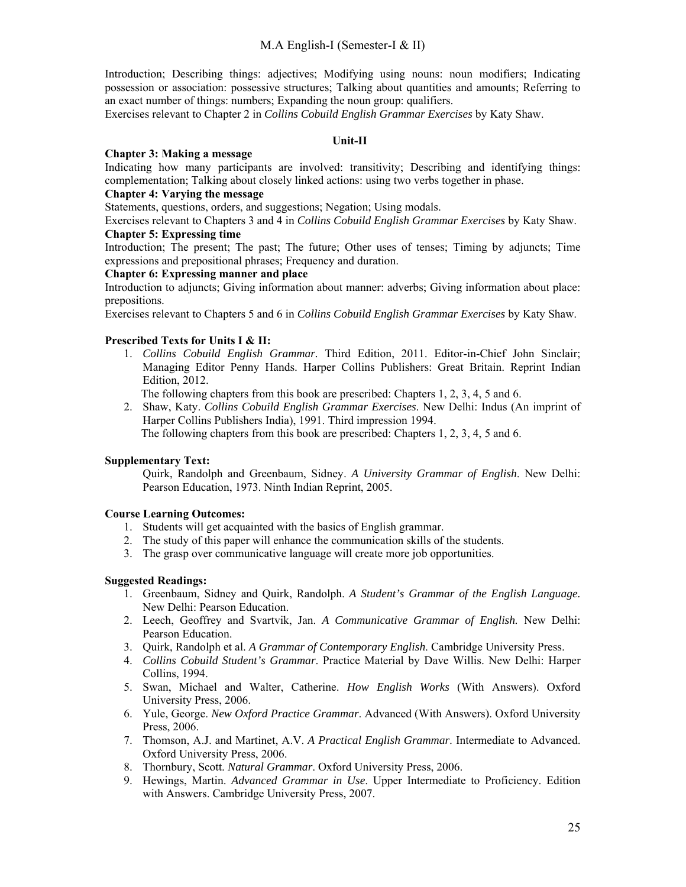Introduction; Describing things: adjectives; Modifying using nouns: noun modifiers; Indicating possession or association: possessive structures; Talking about quantities and amounts; Referring to an exact number of things: numbers; Expanding the noun group: qualifiers.

Exercises relevant to Chapter 2 in *Collins Cobuild English Grammar Exercises* by Katy Shaw.

# **Unit-II**

### **Chapter 3: Making a message**

Indicating how many participants are involved: transitivity; Describing and identifying things: complementation; Talking about closely linked actions: using two verbs together in phase.

### **Chapter 4: Varying the message**

Statements, questions, orders, and suggestions; Negation; Using modals.

Exercises relevant to Chapters 3 and 4 in *Collins Cobuild English Grammar Exercises* by Katy Shaw. **Chapter 5: Expressing time** 

Introduction; The present; The past; The future; Other uses of tenses; Timing by adjuncts; Time expressions and prepositional phrases; Frequency and duration.

# **Chapter 6: Expressing manner and place**

Introduction to adjuncts; Giving information about manner: adverbs; Giving information about place: prepositions.

Exercises relevant to Chapters 5 and 6 in *Collins Cobuild English Grammar Exercises* by Katy Shaw.

### **Prescribed Texts for Units I & II:**

1. *Collins Cobuild English Grammar.* Third Edition, 2011. Editor-in-Chief John Sinclair; Managing Editor Penny Hands. Harper Collins Publishers: Great Britain. Reprint Indian Edition, 2012.

The following chapters from this book are prescribed: Chapters 1, 2, 3, 4, 5 and 6.

2. Shaw, Katy. *Collins Cobuild English Grammar Exercises*. New Delhi: Indus (An imprint of Harper Collins Publishers India), 1991. Third impression 1994.

The following chapters from this book are prescribed: Chapters 1, 2, 3, 4, 5 and 6.

## **Supplementary Text:**

Quirk, Randolph and Greenbaum, Sidney. *A University Grammar of English*. New Delhi: Pearson Education, 1973. Ninth Indian Reprint, 2005.

## **Course Learning Outcomes:**

- 1. Students will get acquainted with the basics of English grammar.
- 2. The study of this paper will enhance the communication skills of the students.
- 3. The grasp over communicative language will create more job opportunities.

## **Suggested Readings:**

- 1. Greenbaum, Sidney and Quirk, Randolph. *A Student's Grammar of the English Language.*  New Delhi: Pearson Education.
- 2. Leech, Geoffrey and Svartvik, Jan. *A Communicative Grammar of English.* New Delhi: Pearson Education.
- 3. Quirk, Randolph et al. *A Grammar of Contemporary English*. Cambridge University Press.
- 4. *Collins Cobuild Student's Grammar*. Practice Material by Dave Willis. New Delhi: Harper Collins, 1994.
- 5. Swan, Michael and Walter, Catherine. *How English Works* (With Answers). Oxford University Press, 2006.
- 6. Yule, George. *New Oxford Practice Grammar*. Advanced (With Answers). Oxford University Press, 2006.
- 7. Thomson, A.J. and Martinet, A.V. *A Practical English Grammar*. Intermediate to Advanced. Oxford University Press, 2006.
- 8. Thornbury, Scott. *Natural Grammar*. Oxford University Press, 2006.
- 9. Hewings, Martin. *Advanced Grammar in Use*. Upper Intermediate to Proficiency. Edition with Answers. Cambridge University Press, 2007.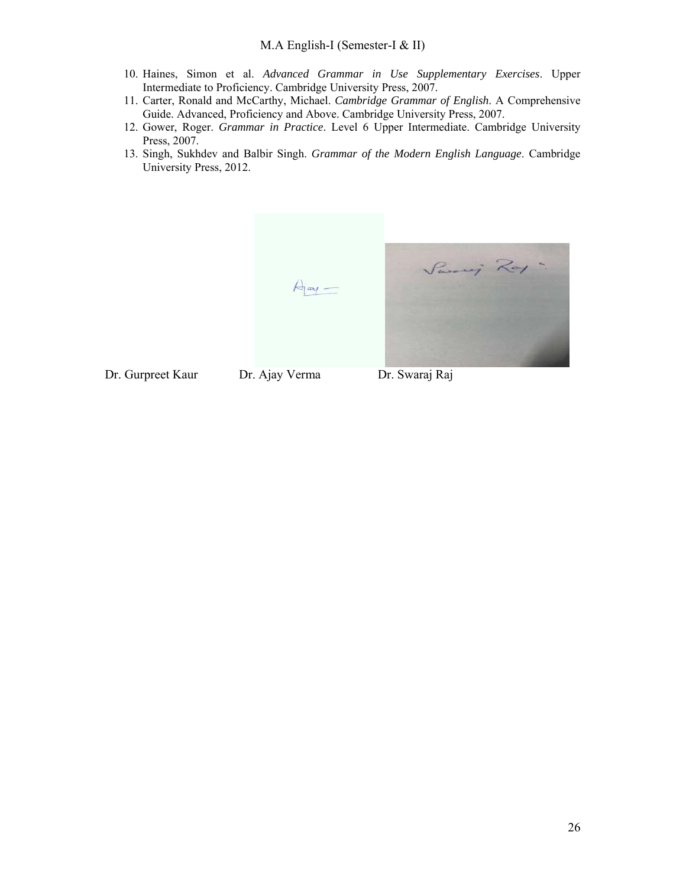- 10. Haines, Simon et al. *Advanced Grammar in Use Supplementary Exercises*. Upper Intermediate to Proficiency. Cambridge University Press, 2007.
- 11. Carter, Ronald and McCarthy, Michael. *Cambridge Grammar of English*. A Comprehensive Guide. Advanced, Proficiency and Above. Cambridge University Press, 2007.
- 12. Gower, Roger. *Grammar in Practice*. Level 6 Upper Intermediate. Cambridge University Press, 2007.
- 13. Singh, Sukhdev and Balbir Singh. *Grammar of the Modern English Language*. Cambridge University Press, 2012.